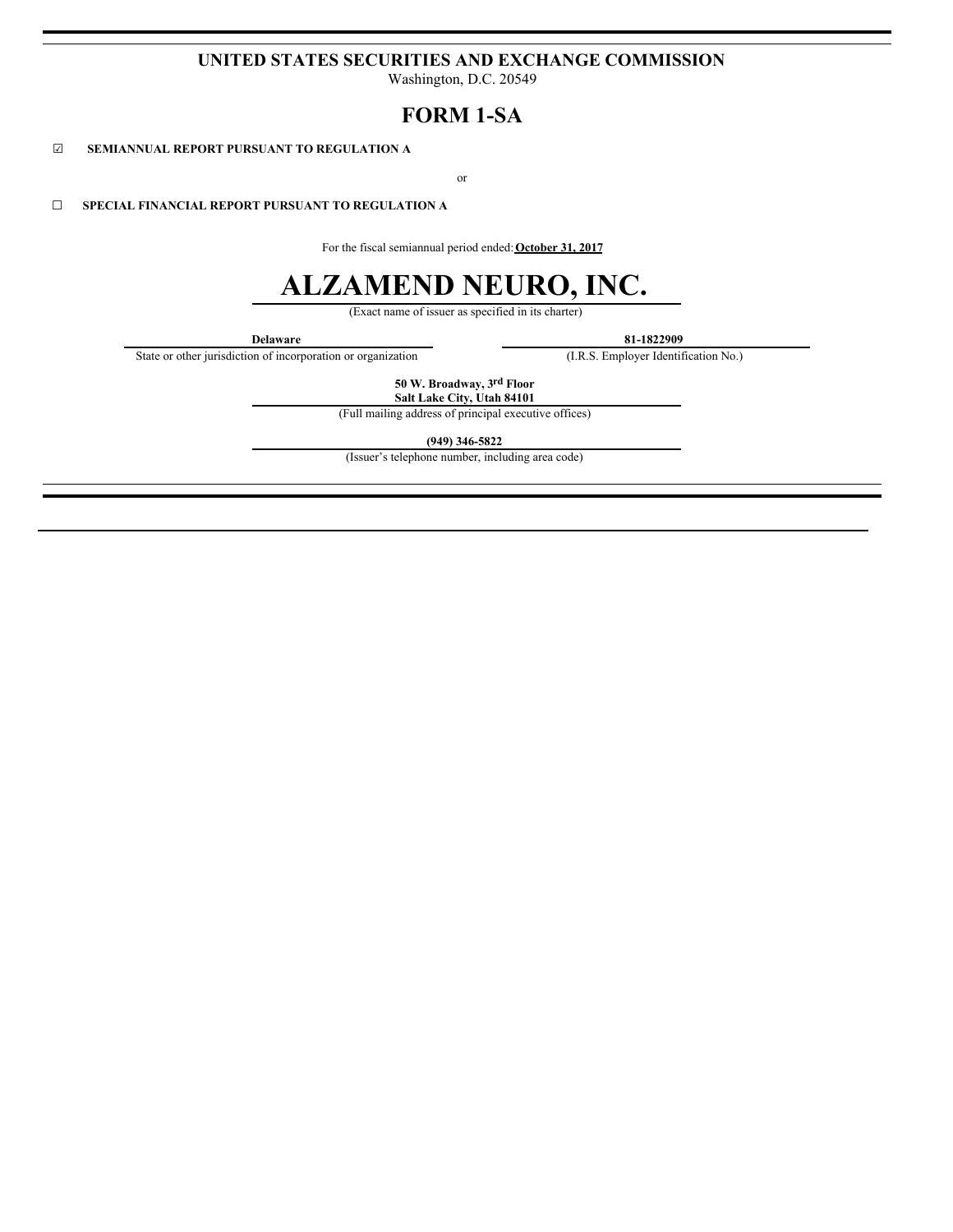# **UNITED STATES SECURITIES AND EXCHANGE COMMISSION**

Washington, D.C. 20549

# **FORM 1-SA**

☑ **SEMIANNUAL REPORT PURSUANT TO REGULATION A**

or

☐ **SPECIAL FINANCIAL REPORT PURSUANT TO REGULATION A**

For the fiscal semiannual period ended:**October 31, 2017**

# **ALZAMEND NEURO, INC.**

(Exact name of issuer as specified in its charter)

**Delaware**<br> **81-1822909**<br> **81-1822909**<br> **81-1822909**<br> **81-1822909**<br> **81-1822909**<br> **81-1822909** State or other jurisdiction of incorporation or organization

**50 W. Broadway, 3rd Floor Salt Lake City, Utah 84101**

(Full mailing address of principal executive offices)

**(949) 346-5822**

(Issuer's telephone number, including area code)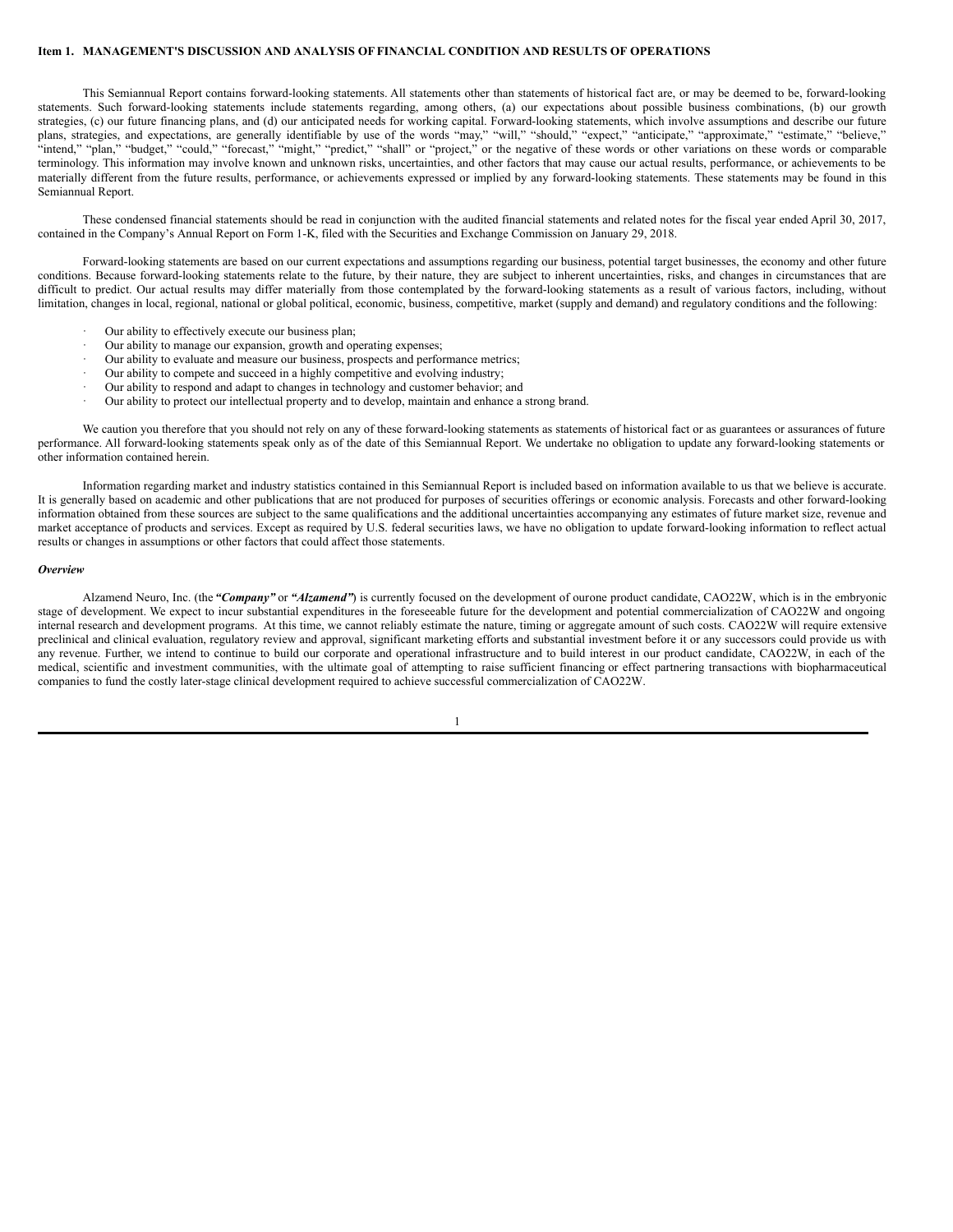# **Item 1. MANAGEMENT'S DISCUSSION AND ANALYSIS OFFINANCIAL CONDITION AND RESULTS OF OPERATIONS**

This Semiannual Report contains forward-looking statements. All statements other than statements of historical fact are, or may be deemed to be, forward-looking statements. Such forward-looking statements include statements regarding, among others, (a) our expectations about possible business combinations, (b) our growth strategies, (c) our future financing plans, and (d) our anticipated needs for working capital. Forward-looking statements, which involve assumptions and describe our future plans, strategies, and expectations, are generally identifiable by use of the words "may," "will," "should," "expect," "anticipate," "approximate," "estimate," "believe," "intend," "plan," "budget," "could," "forecast," "might," "predict," "shall" or "project," or the negative of these words or other variations on these words or comparable terminology. This information may involve known and unknown risks, uncertainties, and other factors that may cause our actual results, performance, or achievements to be materially different from the future results, performance, or achievements expressed or implied by any forward-looking statements. These statements may be found in this Semiannual Report.

These condensed financial statements should be read in conjunction with the audited financial statements and related notes for the fiscal year ended April 30, 2017, contained in the Company's Annual Report on Form 1-K, filed with the Securities and Exchange Commission on January 29, 2018.

Forward-looking statements are based on our current expectations and assumptions regarding our business, potential target businesses, the economy and other future conditions. Because forward-looking statements relate to the future, by their nature, they are subject to inherent uncertainties, risks, and changes in circumstances that are difficult to predict. Our actual results may differ materially from those contemplated by the forward-looking statements as a result of various factors, including, without limitation, changes in local, regional, national or global political, economic, business, competitive, market (supply and demand) and regulatory conditions and the following:

- Our ability to effectively execute our business plan;
- Our ability to manage our expansion, growth and operating expenses;
- Our ability to evaluate and measure our business, prospects and performance metrics;
- Our ability to compete and succeed in a highly competitive and evolving industry;
- Our ability to respond and adapt to changes in technology and customer behavior; and
- Our ability to protect our intellectual property and to develop, maintain and enhance a strong brand.

We caution you therefore that you should not rely on any of these forward-looking statements as statements of historical fact or as guarantees or assurances of future performance. All forward-looking statements speak only as of the date of this Semiannual Report. We undertake no obligation to update any forward-looking statements or other information contained herein.

Information regarding market and industry statistics contained in this Semiannual Report is included based on information available to us that we believe is accurate. It is generally based on academic and other publications that are not produced for purposes of securities offerings or economic analysis. Forecasts and other forward-looking information obtained from these sources are subject to the same qualifications and the additional uncertainties accompanying any estimates of future market size, revenue and market acceptance of products and services. Except as required by U.S. federal securities laws, we have no obligation to update forward-looking information to reflect actual results or changes in assumptions or other factors that could affect those statements.

#### *Overview*

Alzamend Neuro, Inc. (the *"Company"* or *"Alzamend"*) is currently focused on the development of ourone product candidate, CAO22W, which is in the embryonic stage of development. We expect to incur substantial expenditures in the foreseeable future for the development and potential commercialization of CAO22W and ongoing internal research and development programs. At this time, we cannot reliably estimate the nature, timing or aggregate amount of such costs. CAO22W will require extensive preclinical and clinical evaluation, regulatory review and approval, significant marketing efforts and substantial investment before it or any successors could provide us with any revenue. Further, we intend to continue to build our corporate and operational infrastructure and to build interest in our product candidate, CAO22W, in each of the medical, scientific and investment communities, with the ultimate goal of attempting to raise sufficient financing or effect partnering transactions with biopharmaceutical companies to fund the costly later-stage clinical development required to achieve successful commercialization of CAO22W.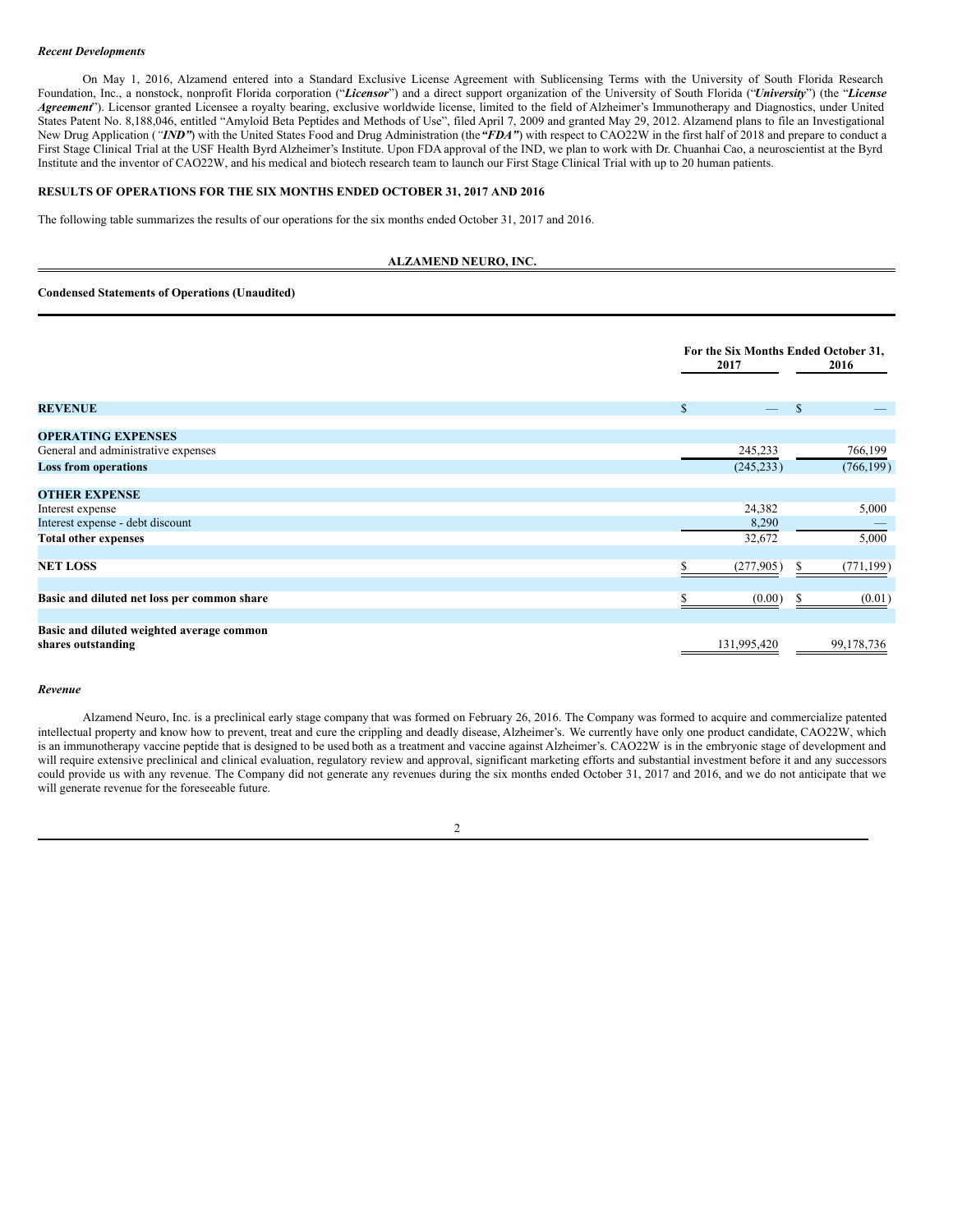#### *Recent Developments*

On May 1, 2016, Alzamend entered into a Standard Exclusive License Agreement with Sublicensing Terms with the University of South Florida Research Foundation, Inc., a nonstock, nonprofit Florida corporation ("*Licensor*") and a direct support organization of the University of South Florida ("*University*") (the "*License Agreement*"). Licensor granted Licensee a royalty bearing, exclusive worldwide license, limited to the field of Alzheimer's Immunotherapy and Diagnostics, under United States Patent No. 8,188,046, entitled "Amyloid Beta Peptides and Methods of Use", filed April 7, 2009 and granted May 29, 2012. Alzamend plans to file an Investigational New Drug Application (*"IND"*) with the United States Food and Drug Administration (the *"FDA"*) with respect to CAO22W in the first half of 2018 and prepare to conduct a First Stage Clinical Trial at the USF Health Byrd Alzheimer's Institute. Upon FDA approval of the IND, we plan to work with Dr. Chuanhai Cao, a neuroscientist at the Byrd Institute and the inventor of CAO22W, and his medical and biotech research team to launch our First Stage Clinical Trial with up to 20 human patients.

# **RESULTS OF OPERATIONS FOR THE SIX MONTHS ENDED OCTOBER 31, 2017 AND 2016**

The following table summarizes the results of our operations for the six months ended October 31, 2017 and 2016.

# **ALZAMEND NEURO, INC.**

#### **Condensed Statements of Operations (Unaudited)**

|                                                                 |                                          | For the Six Months Ended October 31, |  |
|-----------------------------------------------------------------|------------------------------------------|--------------------------------------|--|
|                                                                 | 2017                                     | 2016                                 |  |
|                                                                 |                                          |                                      |  |
| <b>REVENUE</b>                                                  | $\mathbb{S}$<br>$\overline{\phantom{m}}$ | $\mathbb{S}$                         |  |
| <b>OPERATING EXPENSES</b>                                       |                                          |                                      |  |
| General and administrative expenses                             | 245,233                                  | 766,199                              |  |
| <b>Loss from operations</b>                                     | (245, 233)                               | (766, 199)                           |  |
| <b>OTHER EXPENSE</b>                                            |                                          |                                      |  |
| Interest expense                                                | 24,382                                   | 5,000                                |  |
| Interest expense - debt discount                                | 8,290                                    |                                      |  |
| <b>Total other expenses</b>                                     | 32,672                                   | 5,000                                |  |
| <b>NET LOSS</b>                                                 | (277, 905)                               | (771, 199)<br>S                      |  |
| Basic and diluted net loss per common share                     | ς<br>(0.00)                              | (0.01)<br>S                          |  |
| Basic and diluted weighted average common<br>shares outstanding | 131,995,420                              | 99, 178, 736                         |  |

#### *Revenue*

Alzamend Neuro, Inc. is a preclinical early stage company that was formed on February 26, 2016. The Company was formed to acquire and commercialize patented intellectual property and know how to prevent, treat and cure the crippling and deadly disease, Alzheimer's. We currently have only one product candidate, CAO22W, which is an immunotherapy vaccine peptide that is designed to be used both as a treatment and vaccine against Alzheimer's. CAO22W is in the embryonic stage of development and will require extensive preclinical and clinical evaluation, regulatory review and approval, significant marketing efforts and substantial investment before it and any successors could provide us with any revenue. The Company did not generate any revenues during the six months ended October 31, 2017 and 2016, and we do not anticipate that we will generate revenue for the foreseeable future.

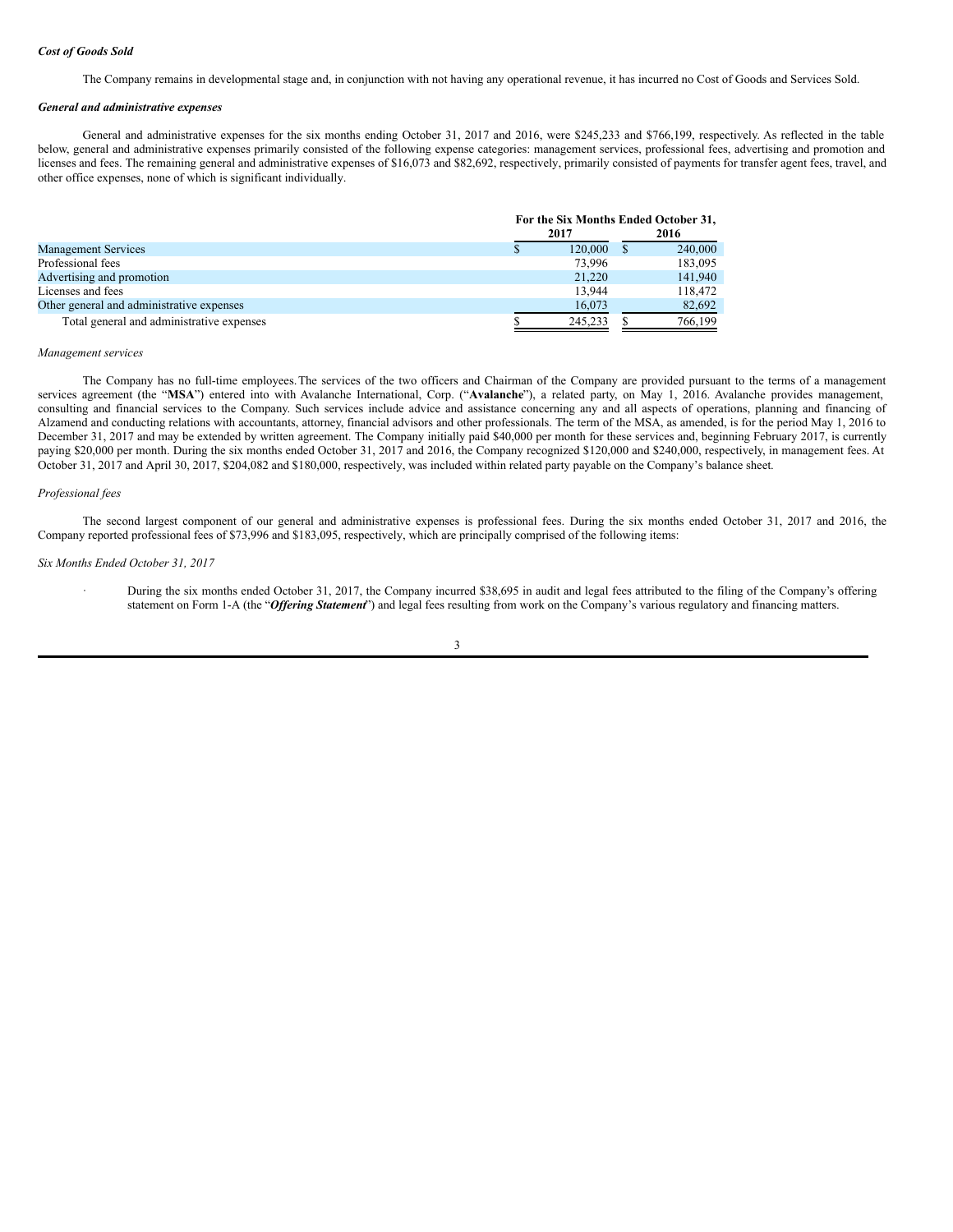#### *Cost of Goods Sold*

The Company remains in developmental stage and, in conjunction with not having any operational revenue, it has incurred no Cost of Goods and Services Sold.

#### *General and administrative expenses*

General and administrative expenses for the six months ending October 31, 2017 and 2016, were \$245,233 and \$766,199, respectively. As reflected in the table below, general and administrative expenses primarily consisted of the following expense categories: management services, professional fees, advertising and promotion and licenses and fees. The remaining general and administrative expenses of \$16,073 and \$82,692, respectively, primarily consisted of payments for transfer agent fees, travel, and other office expenses, none of which is significant individually.

|                                           |      |         | For the Six Months Ended October 31, |
|-------------------------------------------|------|---------|--------------------------------------|
|                                           | 2017 |         | 2016                                 |
| <b>Management Services</b>                | S    | 120,000 | 240,000                              |
| Professional fees                         |      | 73,996  | 183,095                              |
| Advertising and promotion                 |      | 21,220  | 141,940                              |
| Licenses and fees                         |      | 13.944  | 118,472                              |
| Other general and administrative expenses |      | 16.073  | 82,692                               |
| Total general and administrative expenses |      | 245.233 | 766,199                              |

#### *Management services*

The Company has no full-time employees.The services of the two officers and Chairman of the Company are provided pursuant to the terms of a management services agreement (the "**MSA**") entered into with Avalanche International, Corp. ("**Avalanche**"), a related party, on May 1, 2016. Avalanche provides management, consulting and financial services to the Company. Such services include advice and assistance concerning any and all aspects of operations, planning and financing of Alzamend and conducting relations with accountants, attorney, financial advisors and other professionals. The term of the MSA, as amended, is for the period May 1, 2016 to December 31, 2017 and may be extended by written agreement. The Company initially paid \$40,000 per month for these services and, beginning February 2017, is currently paying \$20,000 per month. During the six months ended October 31, 2017 and 2016, the Company recognized \$120,000 and \$240,000, respectively, in management fees. At October 31, 2017 and April 30, 2017, \$204,082 and \$180,000, respectively, was included within related party payable on the Company's balance sheet.

#### *Professional fees*

The second largest component of our general and administrative expenses is professional fees. During the six months ended October 31, 2017 and 2016, the Company reported professional fees of \$73,996 and \$183,095, respectively, which are principally comprised of the following items:

#### *Six Months Ended October 31, 2017*

· During the six months ended October 31, 2017, the Company incurred \$38,695 in audit and legal fees attributed to the filing of the Company's offering statement on Form 1-A (the "*Of ering Statement*") and legal fees resulting from work on the Company's various regulatory and financing matters.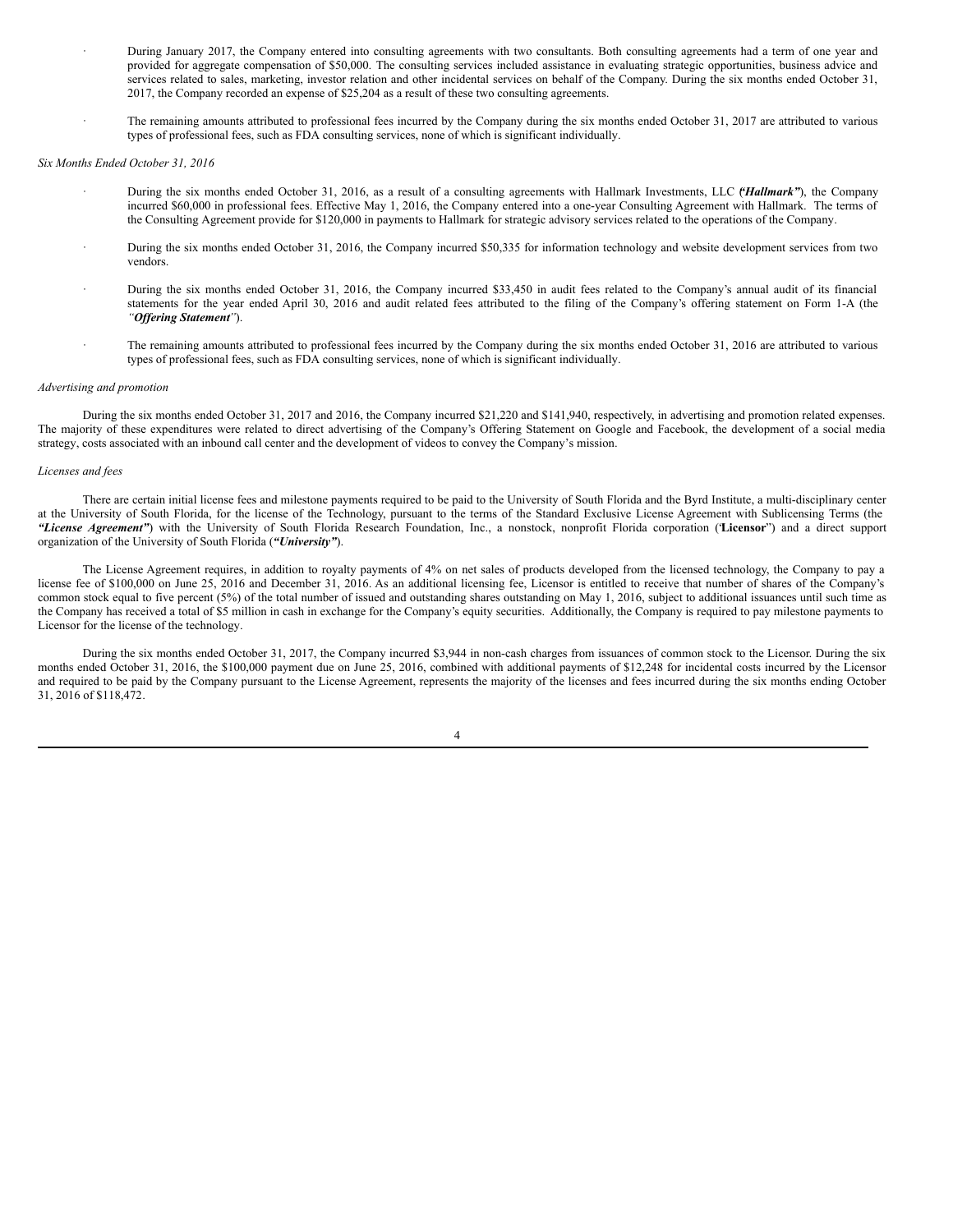- · During January 2017, the Company entered into consulting agreements with two consultants. Both consulting agreements had a term of one year and provided for aggregate compensation of \$50,000. The consulting services included assistance in evaluating strategic opportunities, business advice and services related to sales, marketing, investor relation and other incidental services on behalf of the Company. During the six months ended October 31, 2017, the Company recorded an expense of \$25,204 as a result of these two consulting agreements.
- The remaining amounts attributed to professional fees incurred by the Company during the six months ended October 31, 2017 are attributed to various types of professional fees, such as FDA consulting services, none of which is significant individually.

# *Six Months Ended October 31, 2016*

- · During the six months ended October 31, 2016, as a result of a consulting agreements with Hallmark Investments, LLC *"*(*Hallmark"*), the Company incurred \$60,000 in professional fees. Effective May 1, 2016, the Company entered into a one-year Consulting Agreement with Hallmark. The terms of the Consulting Agreement provide for \$120,000 in payments to Hallmark for strategic advisory services related to the operations of the Company.
- · During the six months ended October 31, 2016, the Company incurred \$50,335 for information technology and website development services from two vendors.
- · During the six months ended October 31, 2016, the Company incurred \$33,450 in audit fees related to the Company's annual audit of its financial statements for the year ended April 30, 2016 and audit related fees attributed to the filing of the Company's offering statement on Form 1-A (the *"Of ering Statement"*).
- · The remaining amounts attributed to professional fees incurred by the Company during the six months ended October 31, 2016 are attributed to various types of professional fees, such as FDA consulting services, none of which is significant individually.

#### *Advertising and promotion*

During the six months ended October 31, 2017 and 2016, the Company incurred \$21,220 and \$141,940, respectively, in advertising and promotion related expenses. The majority of these expenditures were related to direct advertising of the Company's Offering Statement on Google and Facebook, the development of a social media strategy, costs associated with an inbound call center and the development of videos to convey the Company's mission.

#### *Licenses and fees*

There are certain initial license fees and milestone payments required to be paid to the University of South Florida and the Byrd Institute, a multi-disciplinary center at the University of South Florida, for the license of the Technology, pursuant to the terms of the Standard Exclusive License Agreement with Sublicensing Terms (the *"License Agreement"*) with the University of South Florida Research Foundation, Inc., a nonstock, nonprofit Florida corporation ("**Licensor**") and a direct support organization of the University of South Florida (*"University"*).

The License Agreement requires, in addition to royalty payments of 4% on net sales of products developed from the licensed technology, the Company to pay a license fee of \$100,000 on June 25, 2016 and December 31, 2016. As an additional licensing fee, Licensor is entitled to receive that number of shares of the Company's common stock equal to five percent (5%) of the total number of issued and outstanding shares outstanding on May 1, 2016, subject to additional issuances until such time as the Company has received a total of \$5 million in cash in exchange for the Company's equity securities. Additionally, the Company is required to pay milestone payments to Licensor for the license of the technology.

During the six months ended October 31, 2017, the Company incurred \$3,944 in non-cash charges from issuances of common stock to the Licensor. During the six months ended October 31, 2016, the \$100,000 payment due on June 25, 2016, combined with additional payments of \$12,248 for incidental costs incurred by the Licensor and required to be paid by the Company pursuant to the License Agreement, represents the majority of the licenses and fees incurred during the six months ending October 31, 2016 of \$118,472.

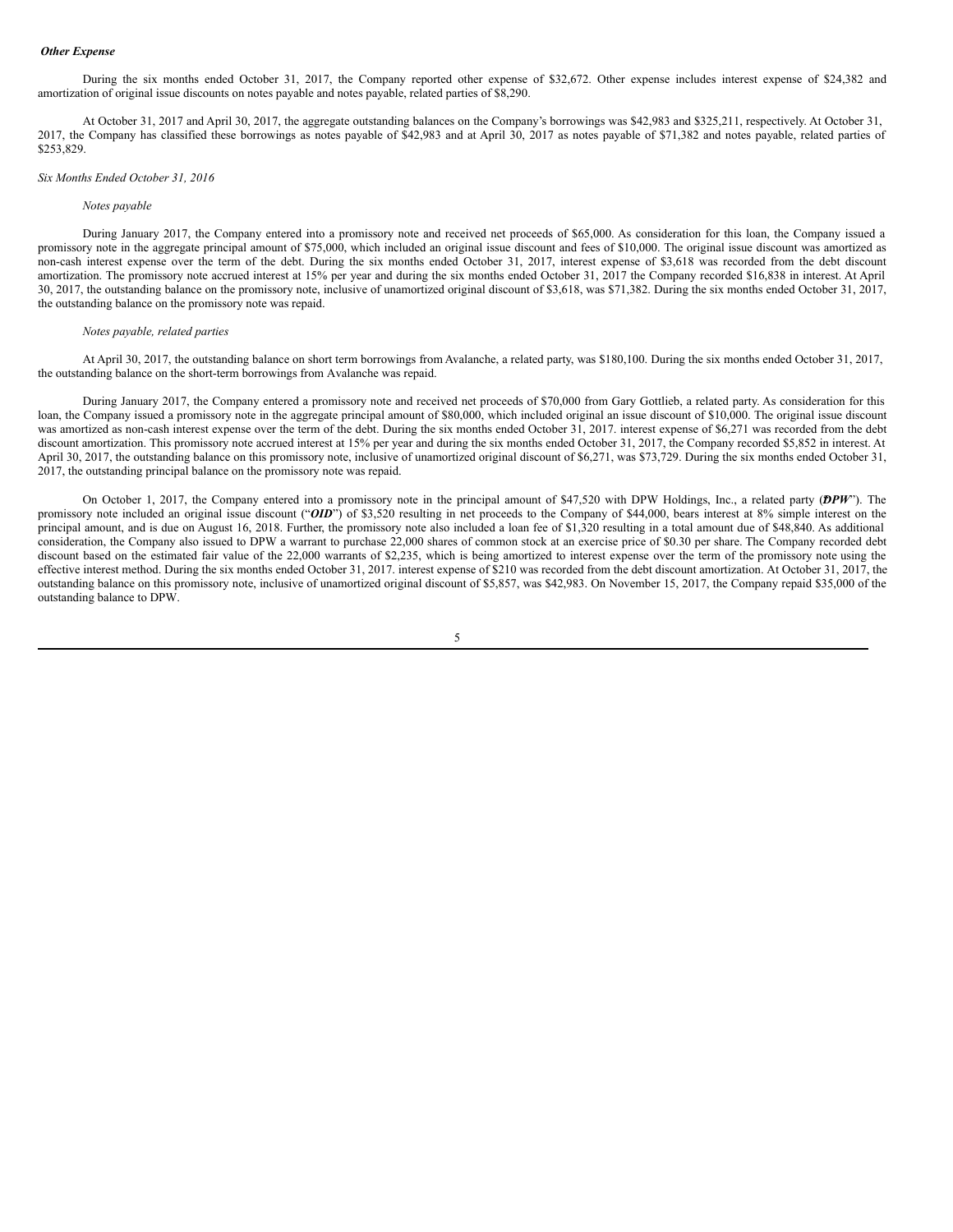#### *Other Expense*

During the six months ended October 31, 2017, the Company reported other expense of \$32,672. Other expense includes interest expense of \$24,382 and amortization of original issue discounts on notes payable and notes payable, related parties of \$8,290.

At October 31, 2017 and April 30, 2017, the aggregate outstanding balances on the Company's borrowings was \$42,983 and \$325,211, respectively. At October 31, 2017, the Company has classified these borrowings as notes payable of \$42,983 and at April 30, 2017 as notes payable of \$71,382 and notes payable, related parties of \$253,829.

#### *Six Months Ended October 31, 2016*

## *Notes payable*

During January 2017, the Company entered into a promissory note and received net proceeds of \$65,000. As consideration for this loan, the Company issued a promissory note in the aggregate principal amount of \$75,000, which included an original issue discount and fees of \$10,000. The original issue discount was amortized as non-cash interest expense over the term of the debt. During the six months ended October 31, 2017, interest expense of \$3,618 was recorded from the debt discount amortization. The promissory note accrued interest at 15% per year and during the six months ended October 31, 2017 the Company recorded \$16,838 in interest. At April 30, 2017, the outstanding balance on the promissory note, inclusive of unamortized original discount of \$3,618, was \$71,382. During the six months ended October 31, 2017, the outstanding balance on the promissory note was repaid.

# *Notes payable, related parties*

At April 30, 2017, the outstanding balance on short term borrowings from Avalanche, a related party, was \$180,100. During the six months ended October 31, 2017, the outstanding balance on the short-term borrowings from Avalanche was repaid.

During January 2017, the Company entered a promissory note and received net proceeds of \$70,000 from Gary Gottlieb, a related party. As consideration for this loan, the Company issued a promissory note in the aggregate principal amount of \$80,000, which included original an issue discount of \$10,000. The original issue discount was amortized as non-cash interest expense over the term of the debt. During the six months ended October 31, 2017. interest expense of \$6,271 was recorded from the debt discount amortization. This promissory note accrued interest at 15% per year and during the six months ended October 31, 2017, the Company recorded \$5,852 in interest. At April 30, 2017, the outstanding balance on this promissory note, inclusive of unamortized original discount of \$6,271, was \$73,729. During the six months ended October 31, 2017, the outstanding principal balance on the promissory note was repaid.

On October 1, 2017, the Company entered into a promissory note in the principal amount of \$47,520 with DPW Holdings, Inc., a related party (DPW"). The promissory note included an original issue discount ("OID") of \$3,520 resulting in net proceeds to the Company of \$44,000, bears interest at 8% simple interest on the principal amount, and is due on August 16, 2018. Further, the promissory note also included a loan fee of \$1,320 resulting in a total amount due of \$48,840. As additional consideration, the Company also issued to DPW a warrant to purchase 22,000 shares of common stock at an exercise price of \$0.30 per share. The Company recorded debt discount based on the estimated fair value of the 22,000 warrants of \$2,235, which is being amortized to interest expense over the term of the promissory note using the effective interest method. During the six months ended October 31, 2017. interest expense of \$210 was recorded from the debt discount amortization. At October 31, 2017, the outstanding balance on this promissory note, inclusive of unamortized original discount of \$5,857, was \$42,983. On November 15, 2017, the Company repaid \$35,000 of the outstanding balance to DPW.

5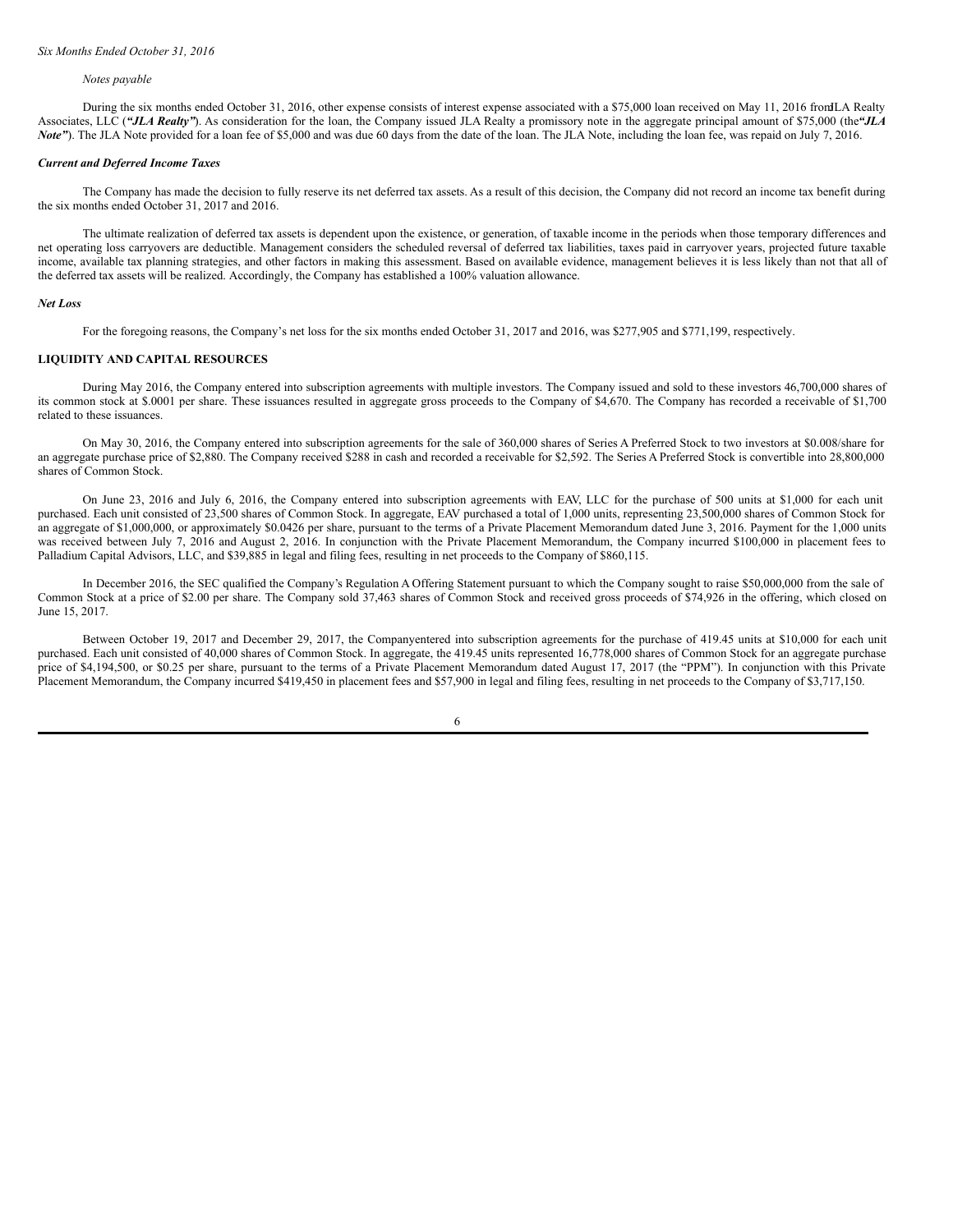#### *Notes payable*

During the six months ended October 31, 2016, other expense consists of interest expense associated with a \$75,000 loan received on May 11, 2016 fromJLA Realty Associates, LLC (*"JLA Realty"*). As consideration for the loan, the Company issued JLA Realty a promissory note in the aggregate principal amount of \$75,000 (the*"JLA Note"*). The JLA Note provided for a loan fee of \$5,000 and was due 60 days from the date of the loan. The JLA Note, including the loan fee, was repaid on July 7, 2016.

#### *Current and Deferred Income Taxes*

The Company has made the decision to fully reserve its net deferred tax assets. As a result of this decision, the Company did not record an income tax benefit during the six months ended October 31, 2017 and 2016.

The ultimate realization of deferred tax assets is dependent upon the existence, or generation, of taxable income in the periods when those temporary differences and net operating loss carryovers are deductible. Management considers the scheduled reversal of deferred tax liabilities, taxes paid in carryover years, projected future taxable income, available tax planning strategies, and other factors in making this assessment. Based on available evidence, management believes it is less likely than not that all of the deferred tax assets will be realized. Accordingly, the Company has established a 100% valuation allowance.

#### *Net Loss*

For the foregoing reasons, the Company's net loss for the six months ended October 31, 2017 and 2016, was \$277,905 and \$771,199, respectively.

# **LIQUIDITY AND CAPITAL RESOURCES**

During May 2016, the Company entered into subscription agreements with multiple investors. The Company issued and sold to these investors 46,700,000 shares of its common stock at \$.0001 per share. These issuances resulted in aggregate gross proceeds to the Company of \$4,670. The Company has recorded a receivable of \$1,700 related to these issuances.

On May 30, 2016, the Company entered into subscription agreements for the sale of 360,000 shares of Series A Preferred Stock to two investors at \$0.008/share for an aggregate purchase price of \$2,880. The Company received \$288 in cash and recorded a receivable for \$2,592. The Series A Preferred Stock is convertible into 28,800,000 shares of Common Stock.

On June 23, 2016 and July 6, 2016, the Company entered into subscription agreements with EAV, LLC for the purchase of 500 units at \$1,000 for each unit purchased. Each unit consisted of 23,500 shares of Common Stock. In aggregate, EAV purchased a total of 1,000 units, representing 23,500,000 shares of Common Stock for an aggregate of \$1,000,000, or approximately \$0.0426 per share, pursuant to the terms of a Private Placement Memorandum dated June 3, 2016. Payment for the 1,000 units was received between July 7, 2016 and August 2, 2016. In conjunction with the Private Placement Memorandum, the Company incurred \$100,000 in placement fees to Palladium Capital Advisors, LLC, and \$39,885 in legal and filing fees, resulting in net proceeds to the Company of \$860,115.

In December 2016, the SEC qualified the Company's Regulation A Offering Statement pursuant to which the Company sought to raise \$50,000,000 from the sale of Common Stock at a price of \$2.00 per share. The Company sold 37,463 shares of Common Stock and received gross proceeds of \$74,926 in the offering, which closed on June 15, 2017.

Between October 19, 2017 and December 29, 2017, the Companyentered into subscription agreements for the purchase of 419.45 units at \$10,000 for each unit purchased. Each unit consisted of 40,000 shares of Common Stock. In aggregate, the 419.45 units represented 16,778,000 shares of Common Stock for an aggregate purchase price of \$4,194,500, or \$0.25 per share, pursuant to the terms of a Private Placement Memorandum dated August 17, 2017 (the "PPM"). In conjunction with this Private Placement Memorandum, the Company incurred \$419,450 in placement fees and \$57,900 in legal and filing fees, resulting in net proceeds to the Company of \$3,717,150.

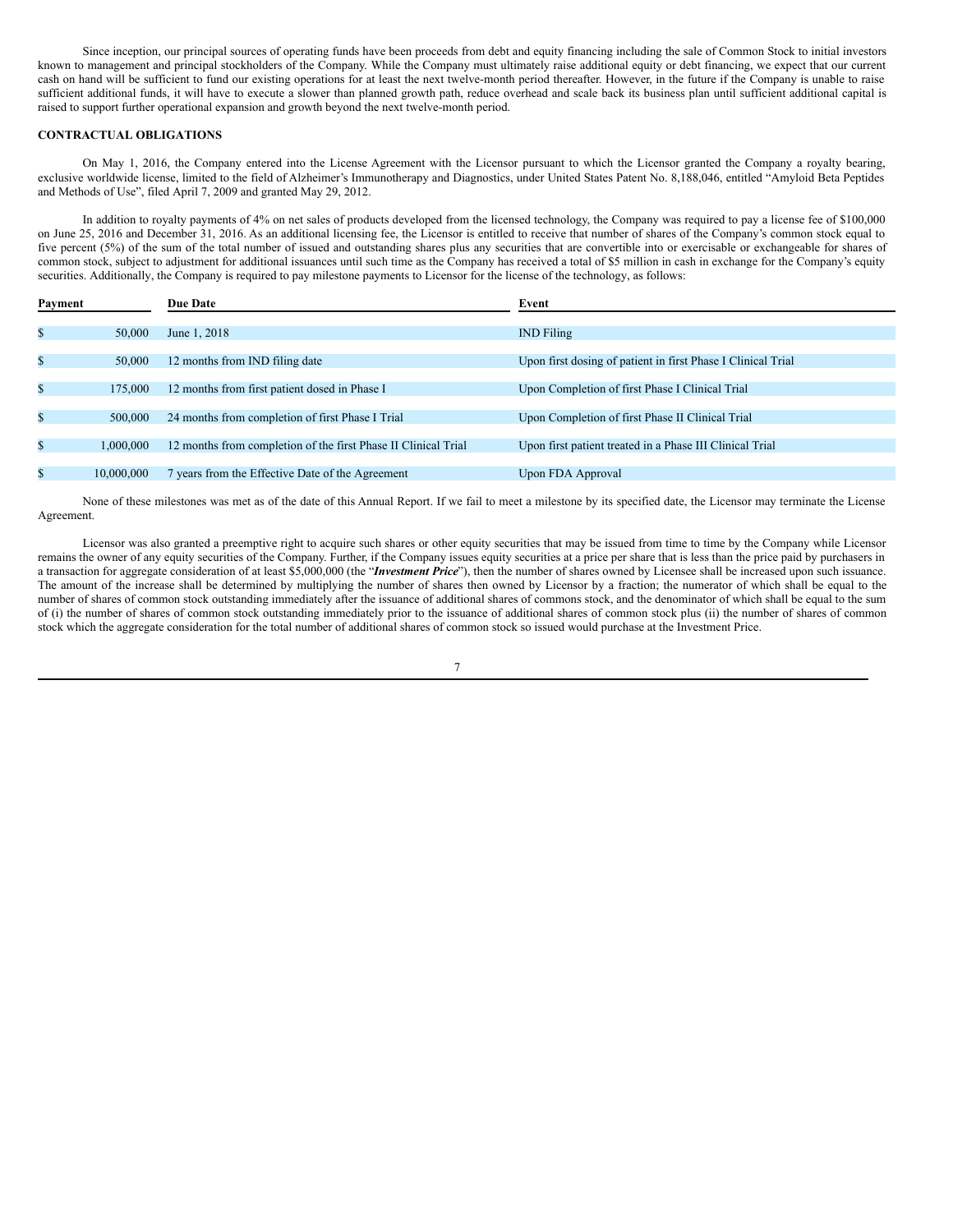Since inception, our principal sources of operating funds have been proceeds from debt and equity financing including the sale of Common Stock to initial investors known to management and principal stockholders of the Company. While the Company must ultimately raise additional equity or debt financing, we expect that our current cash on hand will be sufficient to fund our existing operations for at least the next twelve-month period thereafter. However, in the future if the Company is unable to raise sufficient additional funds, it will have to execute a slower than planned growth path, reduce overhead and scale back its business plan until sufficient additional capital is raised to support further operational expansion and growth beyond the next twelve-month period.

# **CONTRACTUAL OBLIGATIONS**

On May 1, 2016, the Company entered into the License Agreement with the Licensor pursuant to which the Licensor granted the Company a royalty bearing, exclusive worldwide license, limited to the field of Alzheimer's Immunotherapy and Diagnostics, under United States Patent No. 8,188,046, entitled "Amyloid Beta Peptides and Methods of Use", filed April 7, 2009 and granted May 29, 2012.

In addition to royalty payments of 4% on net sales of products developed from the licensed technology, the Company was required to pay a license fee of \$100,000 on June 25, 2016 and December 31, 2016. As an additional licensing fee, the Licensor is entitled to receive that number of shares of the Company's common stock equal to five percent (5%) of the sum of the total number of issued and outstanding shares plus any securities that are convertible into or exercisable or exchangeable for shares of common stock, subject to adjustment for additional issuances until such time as the Company has received a total of \$5 million in cash in exchange for the Company's equity securities. Additionally, the Company is required to pay milestone payments to Licensor for the license of the technology, as follows:

| Payment      |            | <b>Due Date</b>                                                | Event                                                        |
|--------------|------------|----------------------------------------------------------------|--------------------------------------------------------------|
|              |            |                                                                |                                                              |
| \$           | 50,000     | June 1, 2018                                                   | <b>IND</b> Filing                                            |
|              |            |                                                                |                                                              |
| \$           | 50,000     | 12 months from IND filing date                                 | Upon first dosing of patient in first Phase I Clinical Trial |
|              |            |                                                                |                                                              |
| \$           | 175,000    | 12 months from first patient dosed in Phase I                  | Upon Completion of first Phase I Clinical Trial              |
| \$           | 500,000    | 24 months from completion of first Phase I Trial               | Upon Completion of first Phase II Clinical Trial             |
|              |            |                                                                |                                                              |
| \$           | 1.000.000  | 12 months from completion of the first Phase II Clinical Trial | Upon first patient treated in a Phase III Clinical Trial     |
|              |            |                                                                |                                                              |
| $\mathbb{S}$ | 10,000,000 | 7 years from the Effective Date of the Agreement               | Upon FDA Approval                                            |

None of these milestones was met as of the date of this Annual Report. If we fail to meet a milestone by its specified date, the Licensor may terminate the License Agreement.

Licensor was also granted a preemptive right to acquire such shares or other equity securities that may be issued from time to time by the Company while Licensor remains the owner of any equity securities of the Company. Further, if the Company issues equity securities at a price per share that is less than the price paid by purchasers in a transaction for aggregate consideration of at least \$5,000,000 (the "*Investment Price*"), then the number of shares owned by Licensee shall be increased upon such issuance. The amount of the increase shall be determined by multiplying the number of shares then owned by Licensor by a fraction; the numerator of which shall be equal to the number of shares of common stock outstanding immediately after the issuance of additional shares of commons stock, and the denominator of which shall be equal to the sum of (i) the number of shares of common stock outstanding immediately prior to the issuance of additional shares of common stock plus (ii) the number of shares of common stock which the aggregate consideration for the total number of additional shares of common stock so issued would purchase at the Investment Price.

7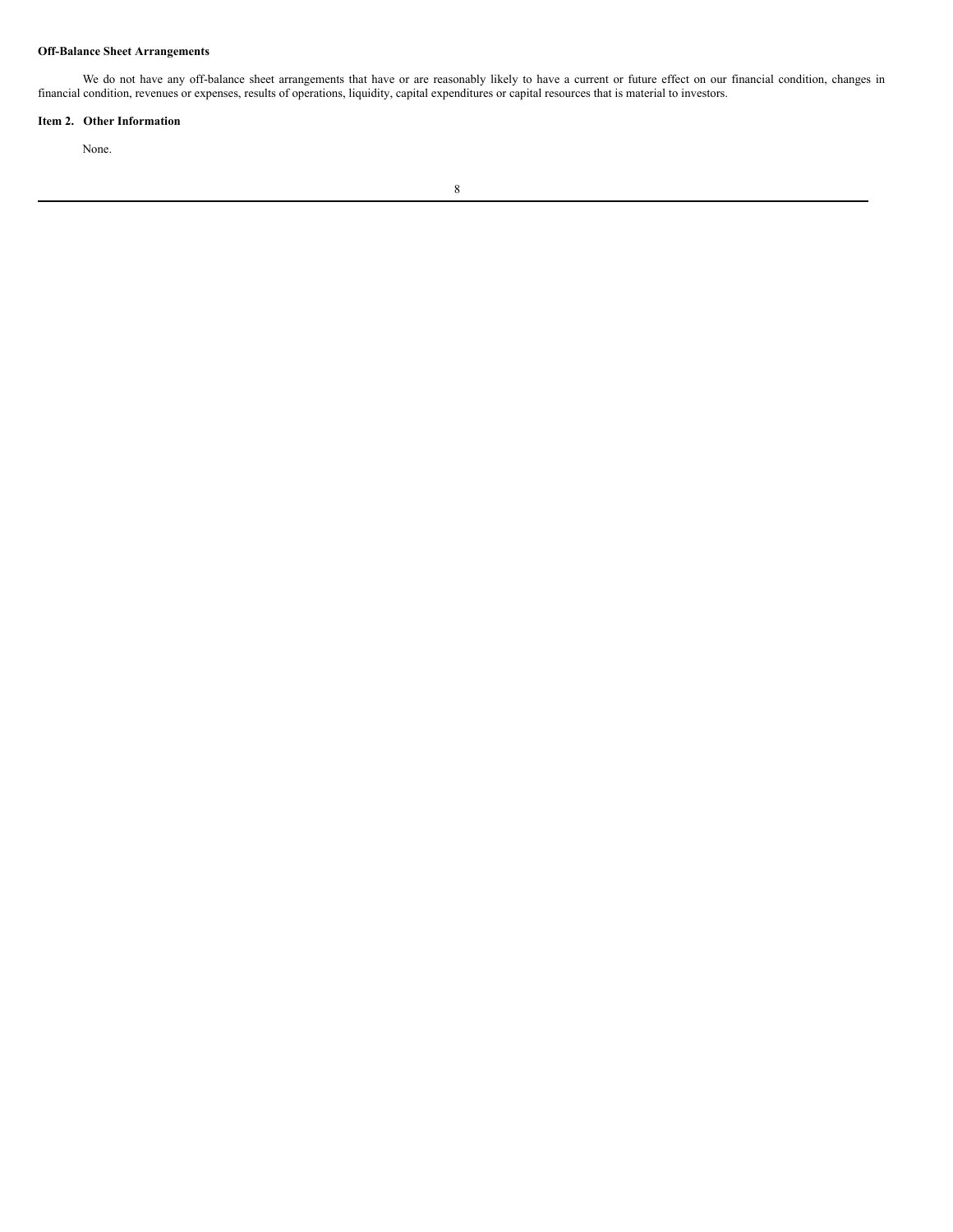# **Off-Balance Sheet Arrangements**

We do not have any off-balance sheet arrangements that have or are reasonably likely to have a current or future effect on our financial condition, changes in financial condition, revenues or expenses, results of operations, liquidity, capital expenditures or capital resources that is material to investors.

# **Item 2. Other Information**

None.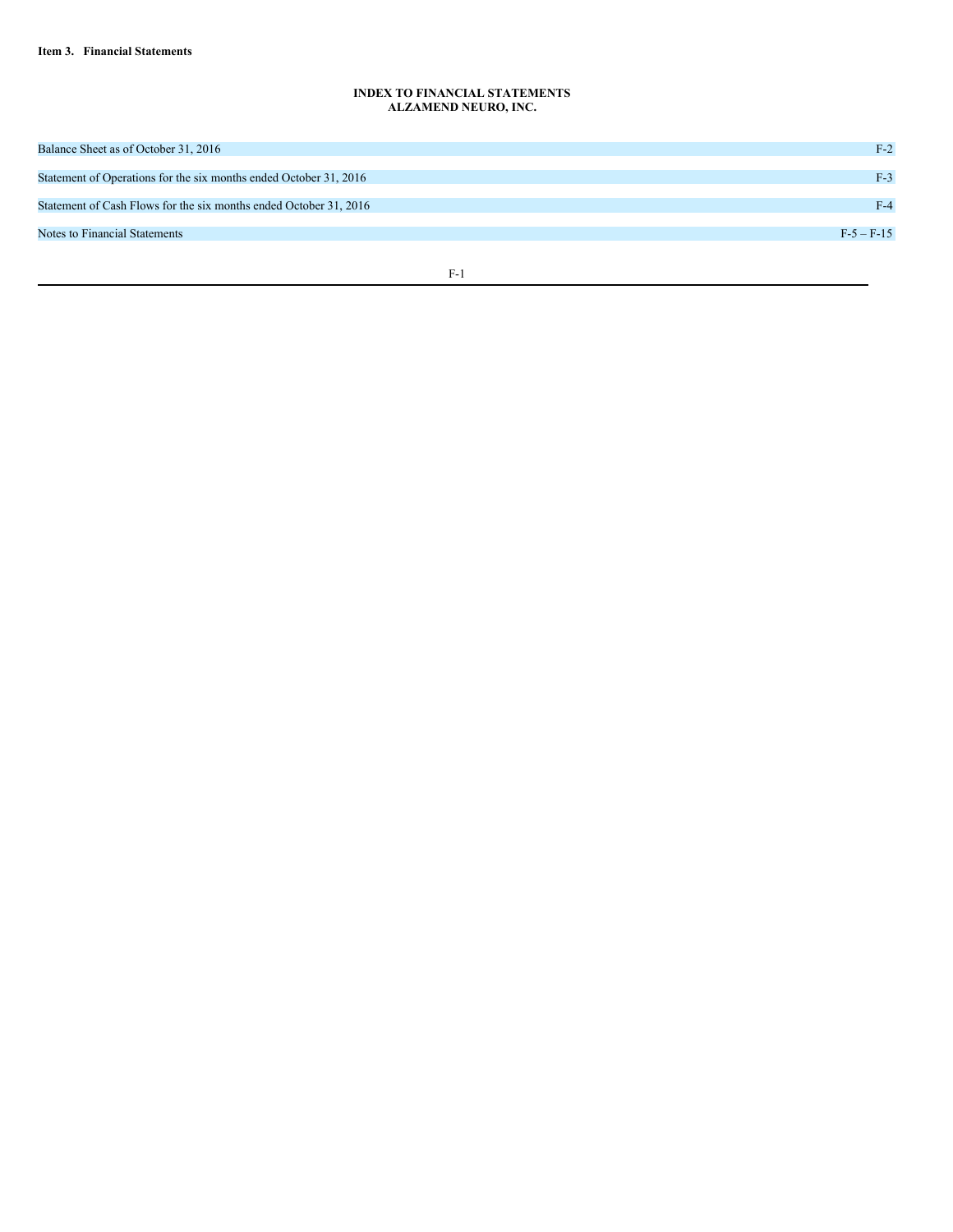# **INDEX TO FINANCIAL STATEMENTS ALZAMEND NEURO, INC.**

| Balance Sheet as of October 31, 2016                              | $F-2$      |
|-------------------------------------------------------------------|------------|
|                                                                   |            |
| Statement of Operations for the six months ended October 31, 2016 | $F-3$      |
|                                                                   |            |
| Statement of Cash Flows for the six months ended October 31, 2016 | $F-4$      |
|                                                                   |            |
| Notes to Financial Statements                                     | $F-5-F-15$ |
|                                                                   |            |
|                                                                   |            |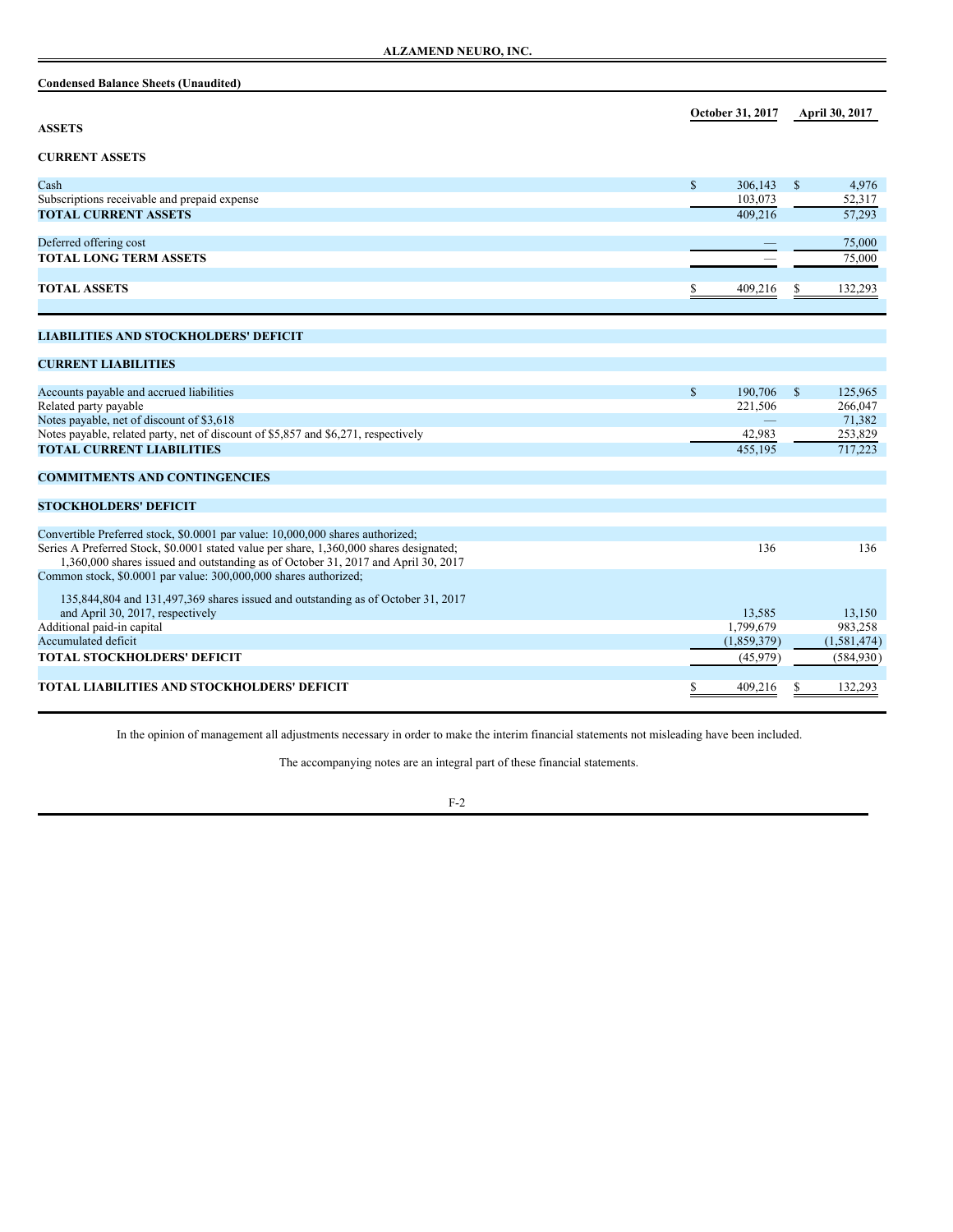| <b>Condensed Balance Sheets (Unaudited)</b> |
|---------------------------------------------|
|---------------------------------------------|

| <b>ASSETS</b>                                                                           |              | October 31, 2017   |              | <b>April 30, 2017</b> |
|-----------------------------------------------------------------------------------------|--------------|--------------------|--------------|-----------------------|
| <b>CURRENT ASSETS</b>                                                                   |              |                    |              |                       |
|                                                                                         |              |                    |              |                       |
| Cash                                                                                    | $\mathbb{S}$ | 306.143            | $\mathbb{S}$ | 4,976                 |
| Subscriptions receivable and prepaid expense                                            |              | 103,073            |              | 52,317                |
| <b>TOTAL CURRENT ASSETS</b>                                                             |              | 409.216            |              | 57,293                |
| Deferred offering cost                                                                  |              |                    |              | 75,000                |
| <b>TOTAL LONG TERM ASSETS</b>                                                           |              |                    |              | 75,000                |
|                                                                                         |              |                    |              |                       |
| <b>TOTAL ASSETS</b>                                                                     |              | 409,216            |              | 132,293               |
|                                                                                         |              |                    |              |                       |
| <b>LIABILITIES AND STOCKHOLDERS' DEFICIT</b>                                            |              |                    |              |                       |
|                                                                                         |              |                    |              |                       |
| <b>CURRENT LIABILITIES</b>                                                              |              |                    |              |                       |
|                                                                                         |              |                    |              |                       |
| Accounts payable and accrued liabilities<br>Related party payable                       | S            | 190.706<br>221,506 | $\mathbb{S}$ | 125,965<br>266,047    |
| Notes payable, net of discount of \$3,618                                               |              |                    |              | 71,382                |
| Notes payable, related party, net of discount of \$5,857 and \$6,271, respectively      |              | 42,983             |              | 253,829               |
| <b>TOTAL CURRENT LIABILITIES</b>                                                        |              | 455,195            |              | 717,223               |
|                                                                                         |              |                    |              |                       |
| <b>COMMITMENTS AND CONTINGENCIES</b>                                                    |              |                    |              |                       |
| <b>STOCKHOLDERS' DEFICIT</b>                                                            |              |                    |              |                       |
|                                                                                         |              |                    |              |                       |
| Convertible Preferred stock, \$0.0001 par value: 10,000,000 shares authorized;          |              |                    |              |                       |
| Series A Preferred Stock, \$0.0001 stated value per share, 1,360,000 shares designated; |              | 136                |              | 136                   |
| 1,360,000 shares issued and outstanding as of October 31, 2017 and April 30, 2017       |              |                    |              |                       |
| Common stock, \$0.0001 par value: 300,000,000 shares authorized;                        |              |                    |              |                       |
| 135,844,804 and 131,497,369 shares issued and outstanding as of October 31, 2017        |              |                    |              |                       |
| and April 30, 2017, respectively                                                        |              | 13,585             |              | 13,150                |
| Additional paid-in capital                                                              |              | 1,799,679          |              | 983,258               |
| Accumulated deficit                                                                     |              | (1,859,379)        |              | (1, 581, 474)         |
| TOTAL STOCKHOLDERS' DEFICIT                                                             |              | (45,979)           |              | (584, 930)            |
| TOTAL LIABILITIES AND STOCKHOLDERS' DEFICIT                                             | S            | 409,216            | S            | 132,293               |
|                                                                                         |              |                    |              |                       |

In the opinion of management all adjustments necessary in order to make the interim financial statements not misleading have been included.

The accompanying notes are an integral part of these financial statements.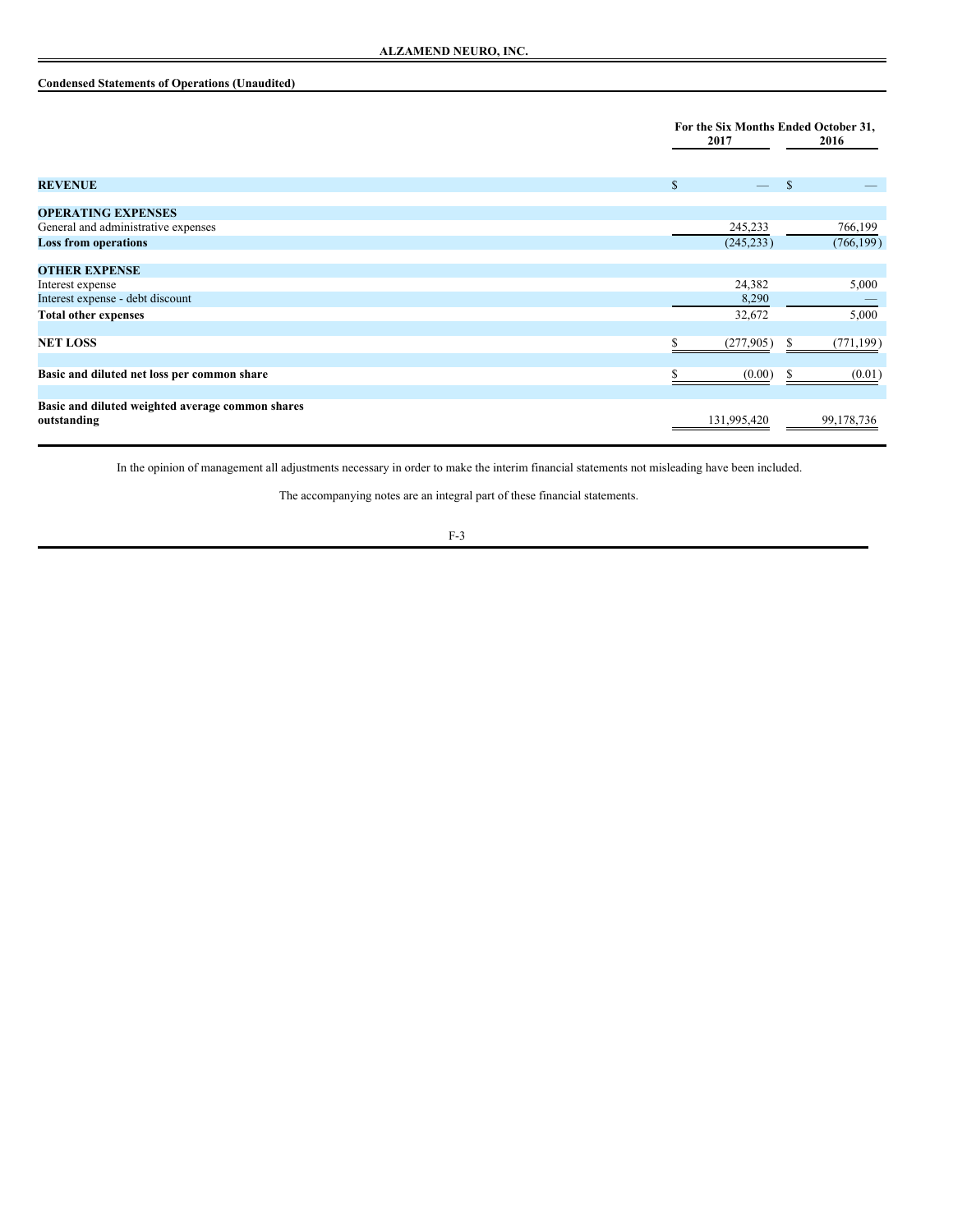# **Condensed Statements of Operations (Unaudited)**

|                                                                 | 2017         | For the Six Months Ended October 31,<br>2016 |  |
|-----------------------------------------------------------------|--------------|----------------------------------------------|--|
| <b>REVENUE</b>                                                  | $\mathbb{S}$ | <sup>\$</sup>                                |  |
| <b>OPERATING EXPENSES</b>                                       |              |                                              |  |
| General and administrative expenses                             | 245,233      | 766,199                                      |  |
| <b>Loss from operations</b>                                     | (245, 233)   | (766, 199)                                   |  |
| <b>OTHER EXPENSE</b>                                            |              |                                              |  |
| Interest expense                                                | 24,382       | 5,000                                        |  |
| Interest expense - debt discount                                | 8,290        |                                              |  |
| <b>Total other expenses</b>                                     | 32,672       | 5,000                                        |  |
| <b>NET LOSS</b>                                                 | (277, 905)   | (771, 199)<br>ъ                              |  |
| Basic and diluted net loss per common share                     | (0.00)       | (0.01)<br>S.                                 |  |
| Basic and diluted weighted average common shares<br>outstanding | 131,995,420  | 99, 178, 736                                 |  |

In the opinion of management all adjustments necessary in order to make the interim financial statements not misleading have been included.

The accompanying notes are an integral part of these financial statements.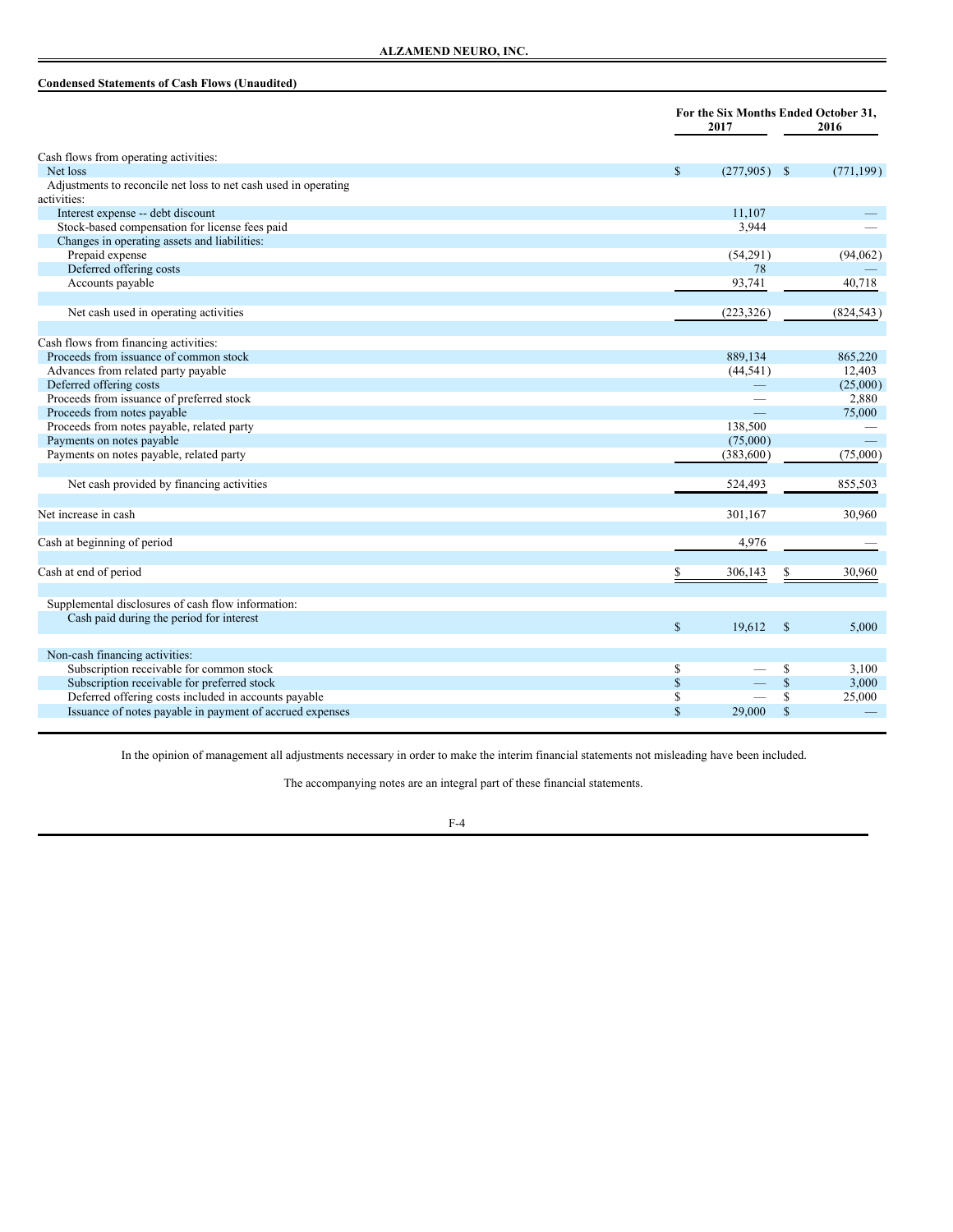# **Condensed Statements of Cash Flows (Unaudited)**

|                                                                 | For the Six Months Ended October 31,<br>2017 |                          | 2016       |
|-----------------------------------------------------------------|----------------------------------------------|--------------------------|------------|
| Cash flows from operating activities:                           |                                              |                          |            |
| Net loss                                                        | $\mathbb{S}$                                 | $(277,905)$ \$           | (771, 199) |
| Adjustments to reconcile net loss to net cash used in operating |                                              |                          |            |
| activities:                                                     |                                              |                          |            |
| Interest expense -- debt discount                               | 11,107                                       |                          |            |
| Stock-based compensation for license fees paid                  | 3.944                                        |                          |            |
| Changes in operating assets and liabilities:                    |                                              |                          |            |
| Prepaid expense                                                 | (54,291)                                     |                          | (94, 062)  |
| Deferred offering costs                                         |                                              | 78                       |            |
| Accounts payable                                                | 93,741                                       |                          | 40,718     |
| Net cash used in operating activities                           | (223, 326)                                   |                          | (824, 543) |
| Cash flows from financing activities:                           |                                              |                          |            |
| Proceeds from issuance of common stock                          | 889,134                                      |                          | 865,220    |
| Advances from related party payable                             | (44, 541)                                    |                          | 12,403     |
| Deferred offering costs                                         |                                              |                          | (25,000)   |
| Proceeds from issuance of preferred stock                       |                                              |                          | 2,880      |
| Proceeds from notes payable                                     |                                              | $\overline{\phantom{a}}$ | 75,000     |
| Proceeds from notes payable, related party                      | 138,500                                      |                          |            |
| Payments on notes payable                                       | (75,000)                                     |                          |            |
| Payments on notes payable, related party                        | (383,600)                                    |                          | (75,000)   |
| Net cash provided by financing activities                       | 524,493                                      |                          | 855,503    |
| Net increase in cash                                            | 301,167                                      |                          | 30,960     |
| Cash at beginning of period                                     | 4,976                                        |                          |            |
| Cash at end of period                                           | \$<br>306,143                                | \$                       | 30,960     |
| Supplemental disclosures of cash flow information:              |                                              |                          |            |
| Cash paid during the period for interest                        |                                              |                          |            |
|                                                                 | $\mathbb{S}$<br>19,612                       | <sup>\$</sup>            | 5,000      |
| Non-cash financing activities:                                  |                                              |                          |            |
| Subscription receivable for common stock                        | \$                                           | \$                       | 3,100      |
| Subscription receivable for preferred stock                     | $\mathbb{S}$                                 | $\mathbb{S}$             | 3,000      |
| Deferred offering costs included in accounts payable            | <sup>\$</sup>                                | \$                       | 25,000     |
| Issuance of notes payable in payment of accrued expenses        | $\mathbb{S}$<br>29,000                       | $\mathbb{S}$             |            |

In the opinion of management all adjustments necessary in order to make the interim financial statements not misleading have been included.

The accompanying notes are an integral part of these financial statements.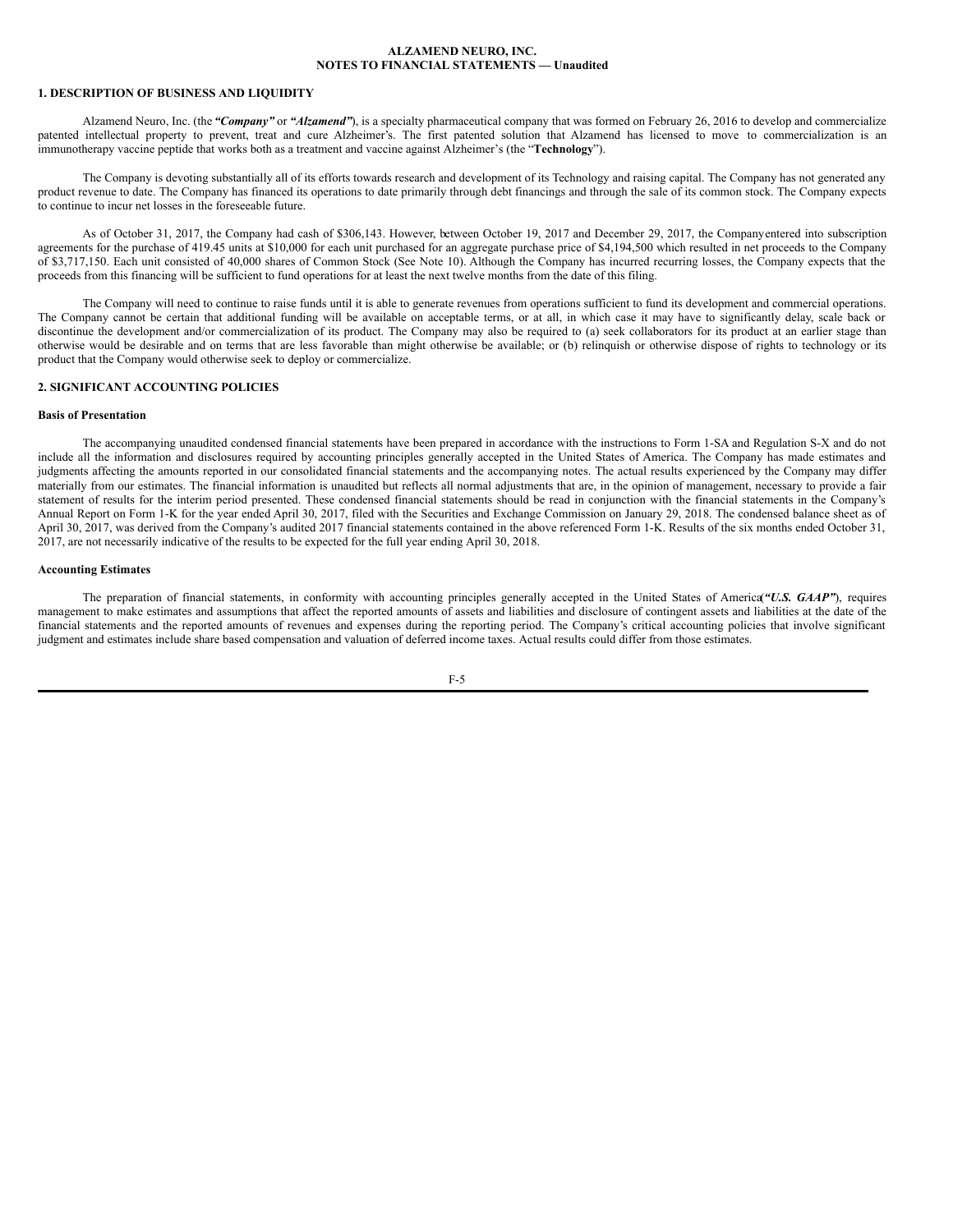#### **1. DESCRIPTION OF BUSINESS AND LIQUIDITY**

Alzamend Neuro, Inc. (the *"Company"* or *"Alzamend"*), is a specialty pharmaceutical company that was formed on February 26, 2016 to develop and commercialize patented intellectual property to prevent, treat and cure Alzheimer's. The first patented solution that Alzamend has licensed to move to commercialization is an immunotherapy vaccine peptide that works both as a treatment and vaccine against Alzheimer's (the "**Technology**").

The Company is devoting substantially all of its efforts towards research and development of its Technology and raising capital. The Company has not generated any product revenue to date. The Company has financed its operations to date primarily through debt financings and through the sale of its common stock. The Company expects to continue to incur net losses in the foreseeable future.

As of October 31, 2017, the Company had cash of \$306,143. However, between October 19, 2017 and December 29, 2017, the Companyentered into subscription agreements for the purchase of 419.45 units at \$10,000 for each unit purchased for an aggregate purchase price of \$4,194,500 which resulted in net proceeds to the Company of \$3,717,150. Each unit consisted of 40,000 shares of Common Stock (See Note 10). Although the Company has incurred recurring losses, the Company expects that the proceeds from this financing will be sufficient to fund operations for at least the next twelve months from the date of this filing.

The Company will need to continue to raise funds until it is able to generate revenues from operations sufficient to fund its development and commercial operations. The Company cannot be certain that additional funding will be available on acceptable terms, or at all, in which case it may have to significantly delay, scale back or discontinue the development and/or commercialization of its product. The Company may also be required to (a) seek collaborators for its product at an earlier stage than otherwise would be desirable and on terms that are less favorable than might otherwise be available; or (b) relinquish or otherwise dispose of rights to technology or its product that the Company would otherwise seek to deploy or commercialize.

# **2. SIGNIFICANT ACCOUNTING POLICIES**

# **Basis of Presentation**

The accompanying unaudited condensed financial statements have been prepared in accordance with the instructions to Form 1-SA and Regulation S-X and do not include all the information and disclosures required by accounting principles generally accepted in the United States of America. The Company has made estimates and judgments affecting the amounts reported in our consolidated financial statements and the accompanying notes. The actual results experienced by the Company may differ materially from our estimates. The financial information is unaudited but reflects all normal adjustments that are, in the opinion of management, necessary to provide a fair statement of results for the interim period presented. These condensed financial statements should be read in conjunction with the financial statements in the Company's Annual Report on Form 1-K for the year ended April 30, 2017, filed with the Securities and Exchange Commission on January 29, 2018. The condensed balance sheet as of April 30, 2017, was derived from the Company's audited 2017 financial statements contained in the above referenced Form 1-K. Results of the six months ended October 31, 2017, are not necessarily indicative of the results to be expected for the full year ending April 30, 2018.

#### **Accounting Estimates**

The preparation of financial statements, in conformity with accounting principles generally accepted in the United States of America(*"U.S. GAAP"*), requires management to make estimates and assumptions that affect the reported amounts of assets and liabilities and disclosure of contingent assets and liabilities at the date of the financial statements and the reported amounts of revenues and expenses during the reporting period. The Company's critical accounting policies that involve significant judgment and estimates include share based compensation and valuation of deferred income taxes. Actual results could differ from those estimates.

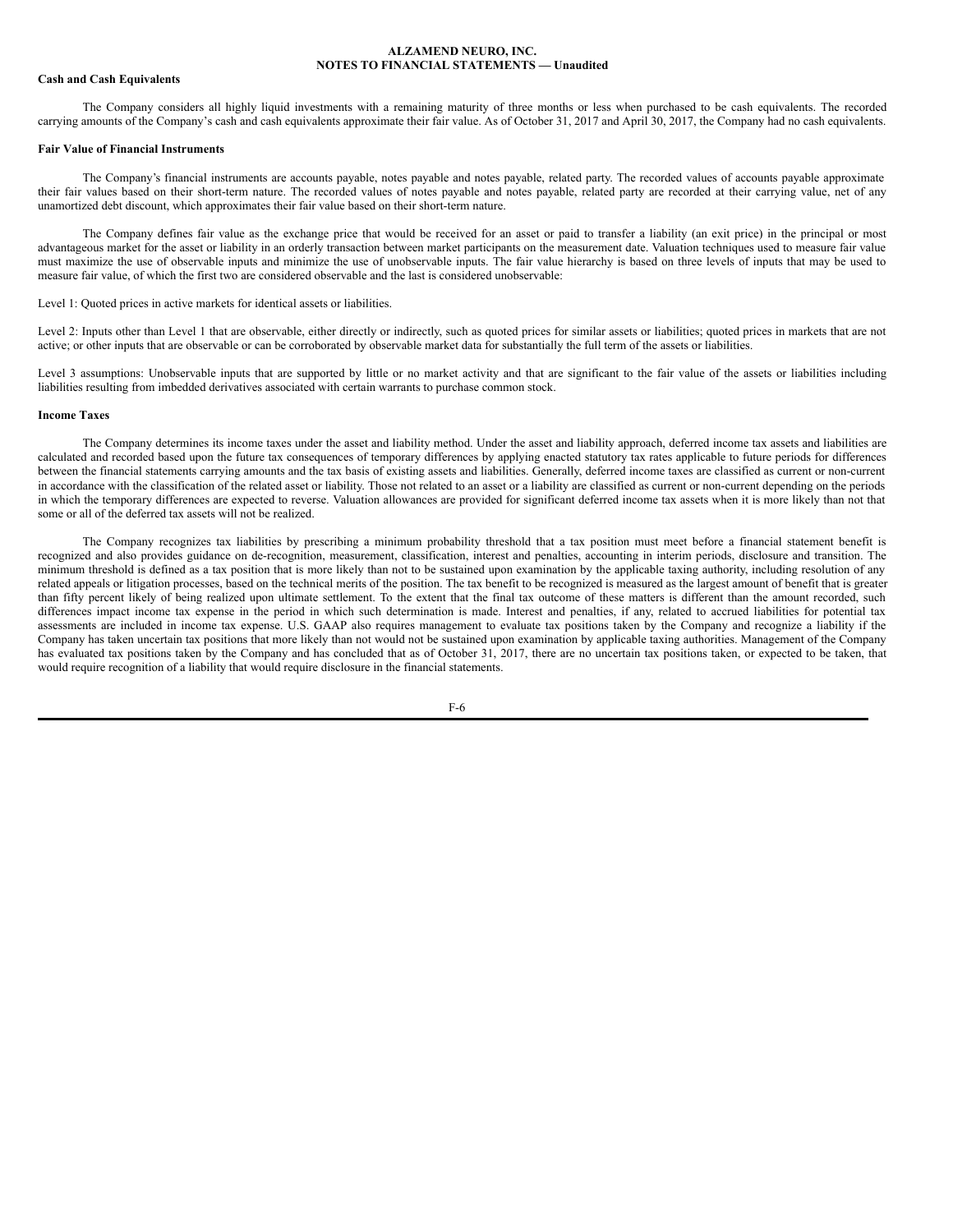# **Cash and Cash Equivalents**

The Company considers all highly liquid investments with a remaining maturity of three months or less when purchased to be cash equivalents. The recorded carrying amounts of the Company's cash and cash equivalents approximate their fair value. As of October 31, 2017 and April 30, 2017, the Company had no cash equivalents.

## **Fair Value of Financial Instruments**

The Company's financial instruments are accounts payable, notes payable and notes payable, related party. The recorded values of accounts payable approximate their fair values based on their short-term nature. The recorded values of notes payable and notes payable, related party are recorded at their carrying value, net of any unamortized debt discount, which approximates their fair value based on their short-term nature.

The Company defines fair value as the exchange price that would be received for an asset or paid to transfer a liability (an exit price) in the principal or most advantageous market for the asset or liability in an orderly transaction between market participants on the measurement date. Valuation techniques used to measure fair value must maximize the use of observable inputs and minimize the use of unobservable inputs. The fair value hierarchy is based on three levels of inputs that may be used to measure fair value, of which the first two are considered observable and the last is considered unobservable:

Level 1: Quoted prices in active markets for identical assets or liabilities.

Level 2: Inputs other than Level 1 that are observable, either directly or indirectly, such as quoted prices for similar assets or liabilities; quoted prices in markets that are not active; or other inputs that are observable or can be corroborated by observable market data for substantially the full term of the assets or liabilities.

Level 3 assumptions: Unobservable inputs that are supported by little or no market activity and that are significant to the fair value of the assets or liabilities including liabilities resulting from imbedded derivatives associated with certain warrants to purchase common stock.

#### **Income Taxes**

The Company determines its income taxes under the asset and liability method. Under the asset and liability approach, deferred income tax assets and liabilities are calculated and recorded based upon the future tax consequences of temporary differences by applying enacted statutory tax rates applicable to future periods for differences between the financial statements carrying amounts and the tax basis of existing assets and liabilities. Generally, deferred income taxes are classified as current or non-current in accordance with the classification of the related asset or liability. Those not related to an asset or a liability are classified as current or non-current depending on the periods in which the temporary differences are expected to reverse. Valuation allowances are provided for significant deferred income tax assets when it is more likely than not that some or all of the deferred tax assets will not be realized.

The Company recognizes tax liabilities by prescribing a minimum probability threshold that a tax position must meet before a financial statement benefit is recognized and also provides guidance on de-recognition, measurement, classification, interest and penalties, accounting in interim periods, disclosure and transition. The minimum threshold is defined as a tax position that is more likely than not to be sustained upon examination by the applicable taxing authority, including resolution of any related appeals or litigation processes, based on the technical merits of the position. The tax benefit to be recognized is measured as the largest amount of benefit that is greater than fifty percent likely of being realized upon ultimate settlement. To the extent that the final tax outcome of these matters is different than the amount recorded, such differences impact income tax expense in the period in which such determination is made. Interest and penalties, if any, related to accrued liabilities for potential tax assessments are included in income tax expense. U.S. GAAP also requires management to evaluate tax positions taken by the Company and recognize a liability if the Company has taken uncertain tax positions that more likely than not would not be sustained upon examination by applicable taxing authorities. Management of the Company has evaluated tax positions taken by the Company and has concluded that as of October 31, 2017, there are no uncertain tax positions taken, or expected to be taken, that would require recognition of a liability that would require disclosure in the financial statements.

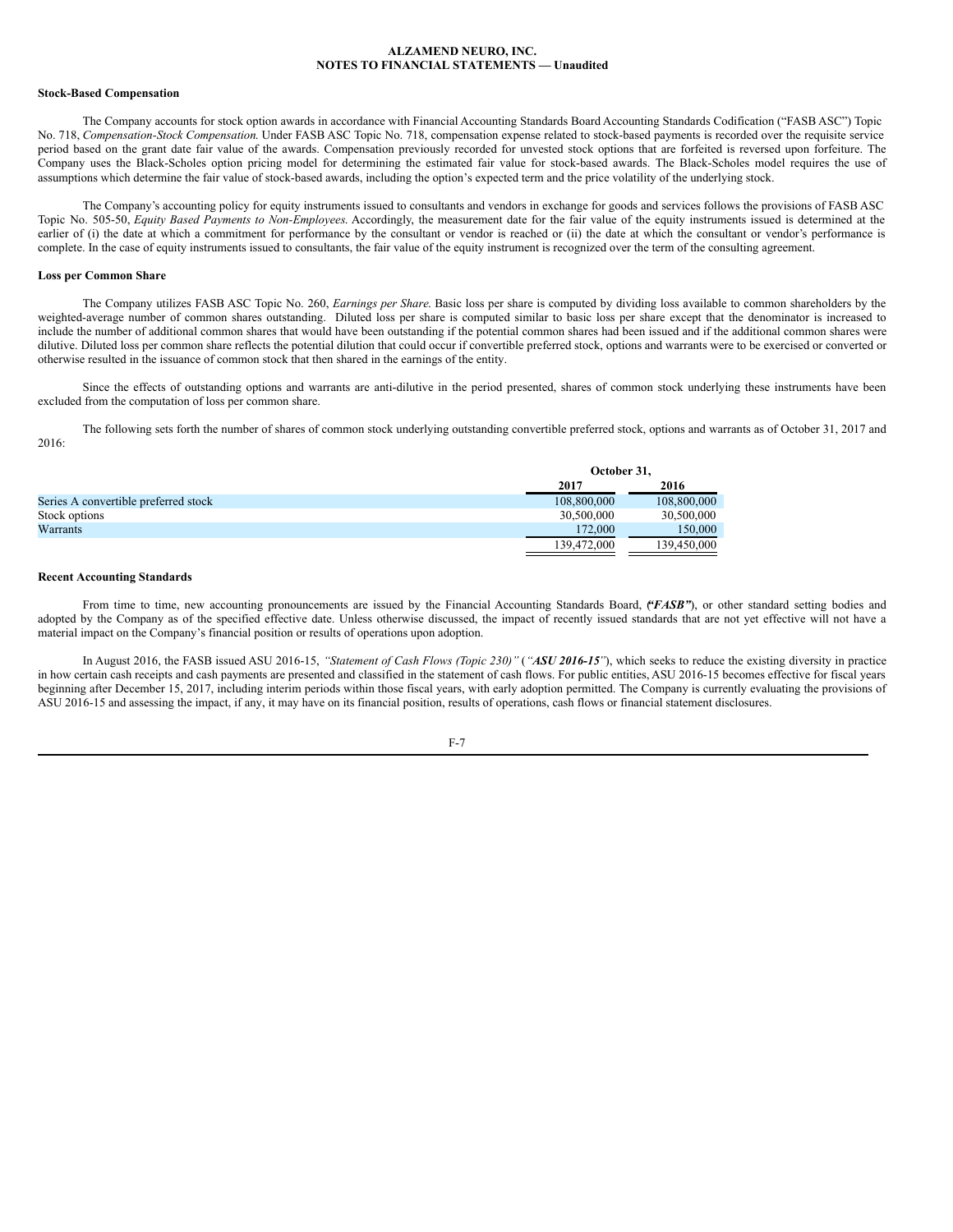#### **Stock-Based Compensation**

The Company accounts for stock option awards in accordance with Financial Accounting Standards Board Accounting Standards Codification ("FASB ASC") Topic No. 718, *Compensation-Stock Compensation*. Under FASB ASC Topic No. 718, compensation expense related to stock-based payments is recorded over the requisite service period based on the grant date fair value of the awards. Compensation previously recorded for unvested stock options that are forfeited is reversed upon forfeiture. The Company uses the Black-Scholes option pricing model for determining the estimated fair value for stock-based awards. The Black-Scholes model requires the use of assumptions which determine the fair value of stock-based awards, including the option's expected term and the price volatility of the underlying stock.

The Company's accounting policy for equity instruments issued to consultants and vendors in exchange for goods and services follows the provisions of FASB ASC Topic No. 505-50, *Equity Based Payments to Non-Employees*. Accordingly, the measurement date for the fair value of the equity instruments issued is determined at the earlier of (i) the date at which a commitment for performance by the consultant or vendor is reached or (ii) the date at which the consultant or vendor's performance is complete. In the case of equity instruments issued to consultants, the fair value of the equity instrument is recognized over the term of the consulting agreement.

# **Loss per Common Share**

The Company utilizes FASB ASC Topic No. 260, *Earnings per Share*. Basic loss per share is computed by dividing loss available to common shareholders by the weighted-average number of common shares outstanding. Diluted loss per share is computed similar to basic loss per share except that the denominator is increased to include the number of additional common shares that would have been outstanding if the potential common shares had been issued and if the additional common shares were dilutive. Diluted loss per common share reflects the potential dilution that could occur if convertible preferred stock, options and warrants were to be exercised or converted or otherwise resulted in the issuance of common stock that then shared in the earnings of the entity.

Since the effects of outstanding options and warrants are anti-dilutive in the period presented, shares of common stock underlying these instruments have been excluded from the computation of loss per common share.

The following sets forth the number of shares of common stock underlying outstanding convertible preferred stock, options and warrants as of October 31, 2017 and 2016:

|                                      | October 31, |             |
|--------------------------------------|-------------|-------------|
|                                      | 2017        | 2016        |
| Series A convertible preferred stock | 108,800,000 | 108,800,000 |
| Stock options                        | 30,500,000  | 30,500,000  |
| Warrants                             | 172,000     | 150,000     |
|                                      | 139.472.000 | 139.450.000 |

#### **Recent Accounting Standards**

From time to time, new accounting pronouncements are issued by the Financial Accounting Standards Board, (*'FASB*"), or other standard setting bodies and adopted by the Company as of the specified effective date. Unless otherwise discussed, the impact of recently issued standards that are not yet effective will not have a material impact on the Company's financial position or results of operations upon adoption.

In August 2016, the FASB issued ASU 2016-15, "Statement of Cash Flows (Topic 230)" ("ASU 2016-15"), which seeks to reduce the existing diversity in practice in how certain cash receipts and cash payments are presented and classified in the statement of cash flows. For public entities, ASU 2016-15 becomes effective for fiscal years beginning after December 15, 2017, including interim periods within those fiscal years, with early adoption permitted. The Company is currently evaluating the provisions of ASU 2016-15 and assessing the impact, if any, it may have on its financial position, results of operations, cash flows or financial statement disclosures.

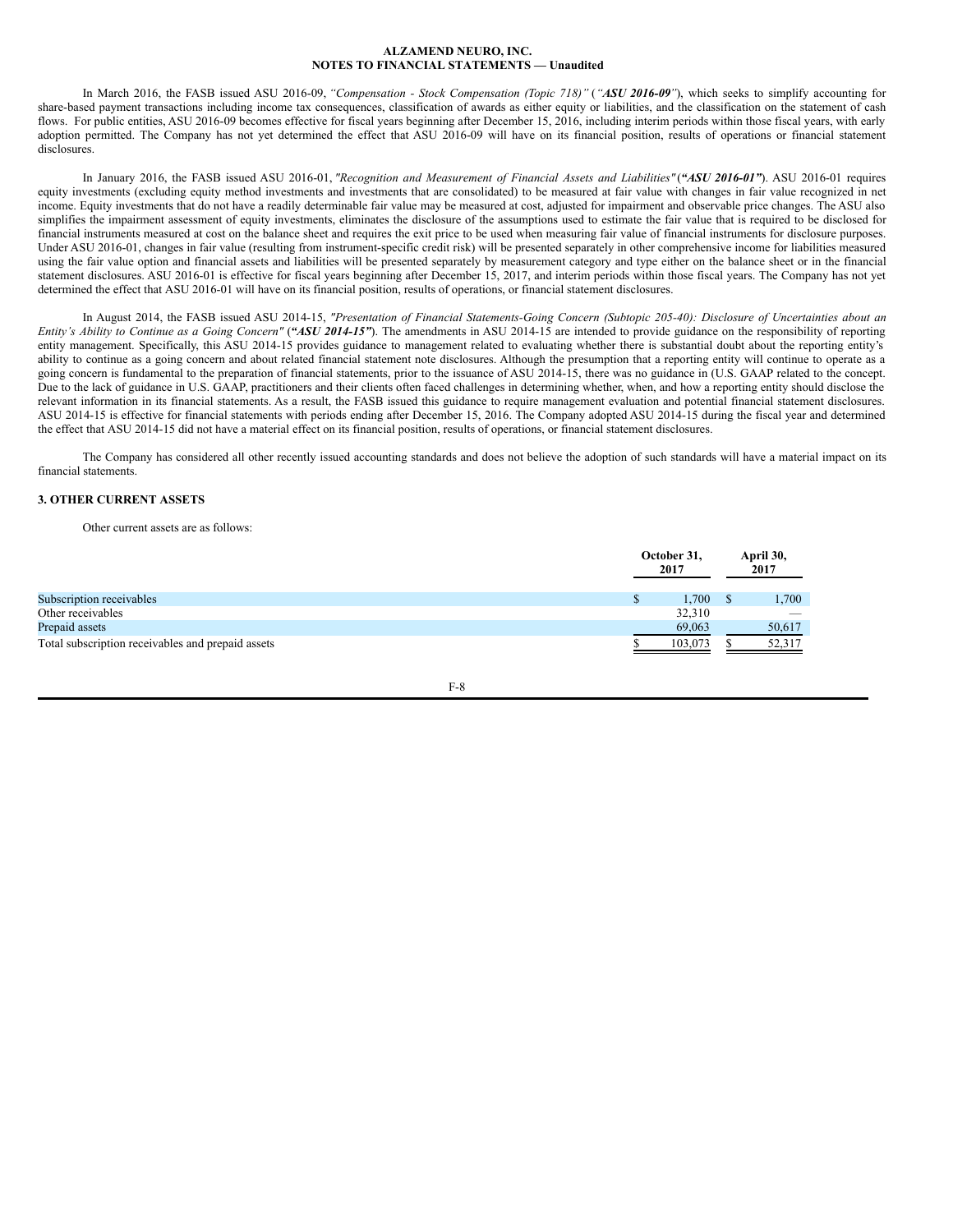In March 2016, the FASB issued ASU 2016-09, *"Compensation - Stock Compensation (Topic 718)"* (*"ASU 2016-09"*), which seeks to simplify accounting for share-based payment transactions including income tax consequences, classification of awards as either equity or liabilities, and the classification on the statement of cash flows. For public entities, ASU 2016-09 becomes effective for fiscal years beginning after December 15, 2016, including interim periods within those fiscal years, with early adoption permitted. The Company has not yet determined the effect that ASU 2016-09 will have on its financial position, results of operations or financial statement disclosures.

In January 2016, the FASB issued ASU 2016-01, *"Recognition and Measurement of Financial Assets and Liabilities"* (*"ASU 2016-01"*). ASU 2016-01 requires equity investments (excluding equity method investments and investments that are consolidated) to be measured at fair value with changes in fair value recognized in net income. Equity investments that do not have a readily determinable fair value may be measured at cost, adjusted for impairment and observable price changes. The ASU also simplifies the impairment assessment of equity investments, eliminates the disclosure of the assumptions used to estimate the fair value that is required to be disclosed for financial instruments measured at cost on the balance sheet and requires the exit price to be used when measuring fair value of financial instruments for disclosure purposes. Under ASU 2016-01, changes in fair value (resulting from instrument-specific credit risk) will be presented separately in other comprehensive income for liabilities measured using the fair value option and financial assets and liabilities will be presented separately by measurement category and type either on the balance sheet or in the financial statement disclosures. ASU 2016-01 is effective for fiscal years beginning after December 15, 2017, and interim periods within those fiscal years. The Company has not yet determined the effect that ASU 2016-01 will have on its financial position, results of operations, or financial statement disclosures.

In August 2014, the FASB issued ASU 2014-15, "Presentation of Financial Statements-Going Concern (Subtopic 205-40): Disclosure of Uncertainties about an Entity's Ability to Continue as a Going Concern" ("ASU 2014-15"). The amendments in ASU 2014-15 are intended to provide guidance on the responsibility of reporting entity management. Specifically, this ASU 2014-15 provides guidance to management related to evaluating whether there is substantial doubt about the reporting entity's ability to continue as a going concern and about related financial statement note disclosures. Although the presumption that a reporting entity will continue to operate as a going concern is fundamental to the preparation of financial statements, prior to the issuance of ASU 2014-15, there was no guidance in (U.S. GAAP related to the concept. Due to the lack of guidance in U.S. GAAP, practitioners and their clients often faced challenges in determining whether, when, and how a reporting entity should disclose the relevant information in its financial statements. As a result, the FASB issued this guidance to require management evaluation and potential financial statement disclosures. ASU 2014-15 is effective for financial statements with periods ending after December 15, 2016. The Company adopted ASU 2014-15 during the fiscal year and determined the effect that ASU 2014-15 did not have a material effect on its financial position, results of operations, or financial statement disclosures.

The Company has considered all other recently issued accounting standards and does not believe the adoption of such standards will have a material impact on its financial statements.

# **3. OTHER CURRENT ASSETS**

Other current assets are as follows:

|                                                   | October 31,<br>2017 | April 30,<br>2017 |
|---------------------------------------------------|---------------------|-------------------|
| Subscription receivables                          | 1.700               | 1,700             |
| Other receivables                                 | 32,310              |                   |
| Prepaid assets                                    | 69,063              | 50,617            |
| Total subscription receivables and prepaid assets | 103.073             | 52,317            |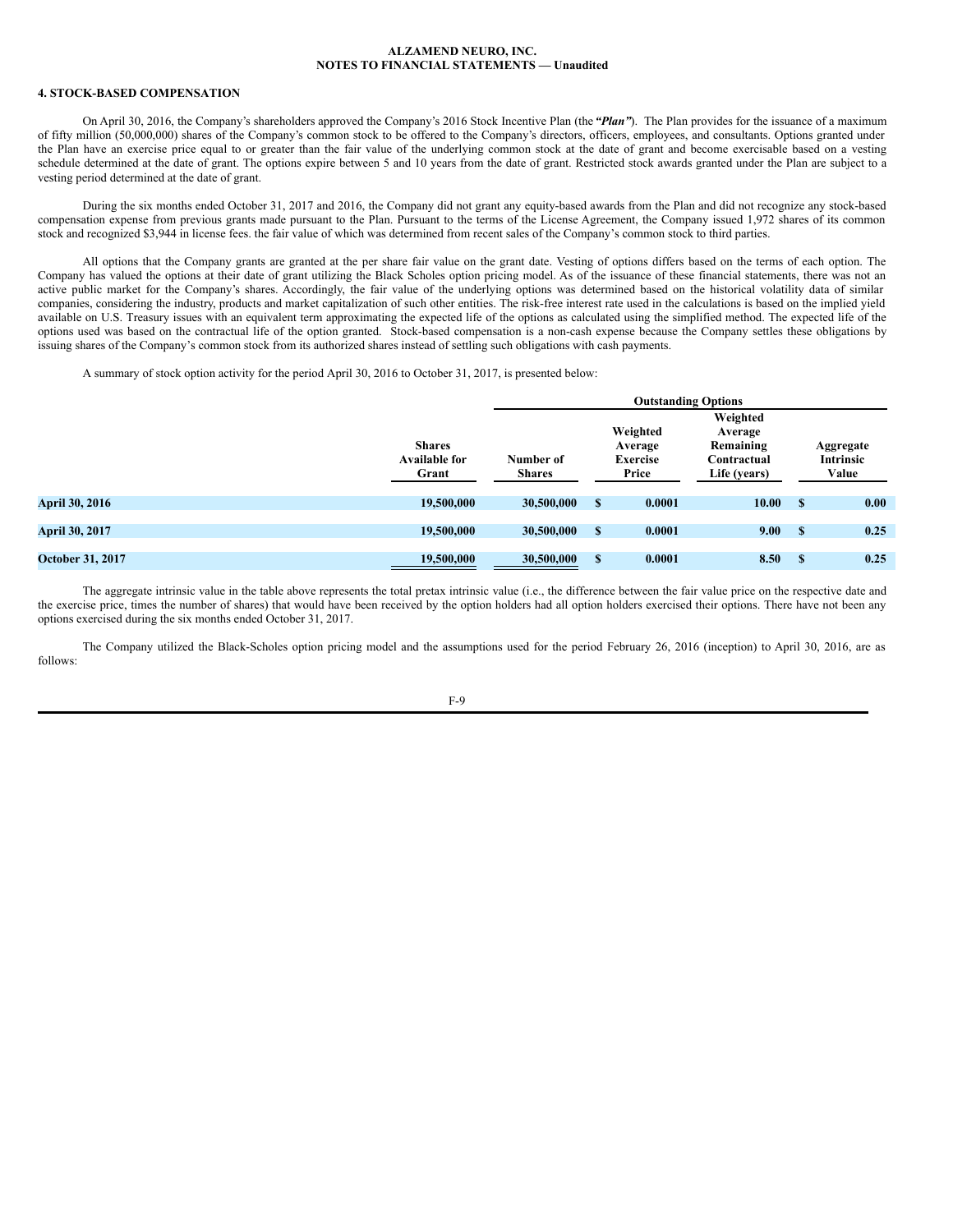## **4. STOCK-BASED COMPENSATION**

On April 30, 2016, the Company's shareholders approved the Company's 2016 Stock Incentive Plan (the *"Plan"*). The Plan provides for the issuance of a maximum of fifty million (50,000,000) shares of the Company's common stock to be offered to the Company's directors, officers, employees, and consultants. Options granted under the Plan have an exercise price equal to or greater than the fair value of the underlying common stock at the date of grant and become exercisable based on a vesting schedule determined at the date of grant. The options expire between 5 and 10 years from the date of grant. Restricted stock awards granted under the Plan are subject to a vesting period determined at the date of grant.

During the six months ended October 31, 2017 and 2016, the Company did not grant any equity-based awards from the Plan and did not recognize any stock-based compensation expense from previous grants made pursuant to the Plan. Pursuant to the terms of the License Agreement, the Company issued 1,972 shares of its common stock and recognized \$3,944 in license fees. the fair value of which was determined from recent sales of the Company's common stock to third parties.

All options that the Company grants are granted at the per share fair value on the grant date. Vesting of options differs based on the terms of each option. The Company has valued the options at their date of grant utilizing the Black Scholes option pricing model. As of the issuance of these financial statements, there was not an active public market for the Company's shares. Accordingly, the fair value of the underlying options was determined based on the historical volatility data of similar companies, considering the industry, products and market capitalization of such other entities. The risk-free interest rate used in the calculations is based on the implied yield available on U.S. Treasury issues with an equivalent term approximating the expected life of the options as calculated using the simplified method. The expected life of the options used was based on the contractual life of the option granted. Stock-based compensation is a non-cash expense because the Company settles these obligations by issuing shares of the Company's common stock from its authorized shares instead of settling such obligations with cash payments.

A summary of stock option activity for the period April 30, 2016 to October 31, 2017, is presented below:

|                         |                      | <b>Outstanding Options</b> |   |                 |              |      |                  |
|-------------------------|----------------------|----------------------------|---|-----------------|--------------|------|------------------|
|                         |                      |                            |   |                 | Weighted     |      |                  |
|                         |                      |                            |   | Weighted        | Average      |      |                  |
|                         | <b>Shares</b>        |                            |   | Average         | Remaining    |      | Aggregate        |
|                         | <b>Available for</b> | Number of                  |   | <b>Exercise</b> | Contractual  |      | <b>Intrinsic</b> |
|                         | Grant                | <b>Shares</b>              |   | Price           | Life (years) |      | Value            |
|                         |                      |                            |   |                 |              |      |                  |
| <b>April 30, 2016</b>   | 19,500,000           | 30,500,000                 | S | 0.0001          | 10.00        | - \$ | 0.00             |
|                         |                      |                            |   |                 |              |      |                  |
| <b>April 30, 2017</b>   | 19,500,000           | 30,500,000                 | S | 0.0001          | 9.00         | - \$ | 0.25             |
|                         |                      |                            |   |                 |              |      |                  |
| <b>October 31, 2017</b> | 19,500,000           | 30,500,000                 | S | 0.0001          | 8.50         | -S   | 0.25             |

The aggregate intrinsic value in the table above represents the total pretax intrinsic value (i.e., the difference between the fair value price on the respective date and the exercise price, times the number of shares) that would have been received by the option holders had all option holders exercised their options. There have not been any options exercised during the six months ended October 31, 2017.

The Company utilized the Black-Scholes option pricing model and the assumptions used for the period February 26, 2016 (inception) to April 30, 2016, are as follows: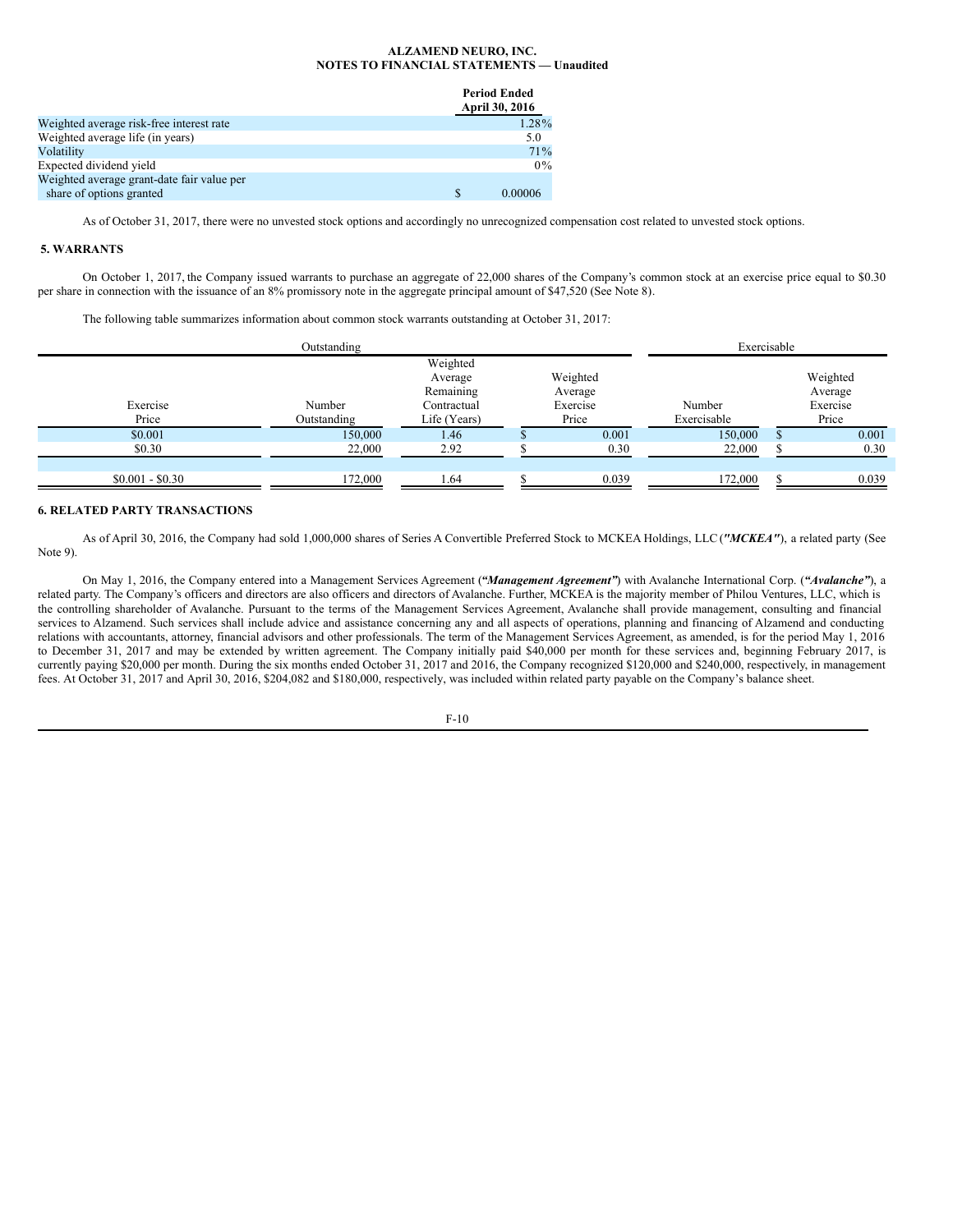**Period Ended**

|                                            | Period Ended<br>April 30, 2016 |
|--------------------------------------------|--------------------------------|
| Weighted average risk-free interest rate   | 1.28%                          |
| Weighted average life (in years)           | 5.0                            |
| Volatility                                 | 71%                            |
| Expected dividend yield                    | $0\%$                          |
| Weighted average grant-date fair value per |                                |
| share of options granted                   | 0.00006                        |

As of October 31, 2017, there were no unvested stock options and accordingly no unrecognized compensation cost related to unvested stock options.

# **5. WARRANTS**

On October 1, 2017, the Company issued warrants to purchase an aggregate of 22,000 shares of the Company's common stock at an exercise price equal to \$0.30 per share in connection with the issuance of an 8% promissory note in the aggregate principal amount of \$47,520 (See Note 8).

The following table summarizes information about common stock warrants outstanding at October 31, 2017:

|                   | Outstanding           |                                                                 |                                          | Exercisable           |                                          |
|-------------------|-----------------------|-----------------------------------------------------------------|------------------------------------------|-----------------------|------------------------------------------|
| Exercise<br>Price | Number<br>Outstanding | Weighted<br>Average<br>Remaining<br>Contractual<br>Life (Years) | Weighted<br>Average<br>Exercise<br>Price | Number<br>Exercisable | Weighted<br>Average<br>Exercise<br>Price |
| \$0.001           | 150,000               | 1.46                                                            | 0.001                                    | 150,000               | 0.001                                    |
| \$0.30            | 22,000                | 2.92                                                            | 0.30                                     | 22,000                | 0.30                                     |
|                   |                       |                                                                 |                                          |                       |                                          |
| $$0.001 - $0.30$  | 172,000               | ـ 64،                                                           | 0.039                                    | 172,000               | 0.039                                    |

# **6. RELATED PARTY TRANSACTIONS**

As of April 30, 2016, the Company had sold 1,000,000 shares of Series A Convertible Preferred Stock to MCKEA Holdings, LLC (*"MCKEA"*), a related party (See Note 9).

On May 1, 2016, the Company entered into a Management Services Agreement (*"Management Agreement"*) with Avalanche International Corp. (*"Avalanche"*), a related party. The Company's officers and directors are also officers and directors of Avalanche. Further, MCKEA is the majority member of Philou Ventures, LLC, which is the controlling shareholder of Avalanche. Pursuant to the terms of the Management Services Agreement, Avalanche shall provide management, consulting and financial services to Alzamend. Such services shall include advice and assistance concerning any and all aspects of operations, planning and financing of Alzamend and conducting relations with accountants, attorney, financial advisors and other professionals. The term of the Management Services Agreement, as amended, is for the period May 1, 2016 to December 31, 2017 and may be extended by written agreement. The Company initially paid \$40,000 per month for these services and, beginning February 2017, is currently paying \$20,000 per month. During the six months ended October 31, 2017 and 2016, the Company recognized \$120,000 and \$240,000, respectively, in management fees. At October 31, 2017 and April 30, 2016, \$204,082 and \$180,000, respectively, was included within related party payable on the Company's balance sheet.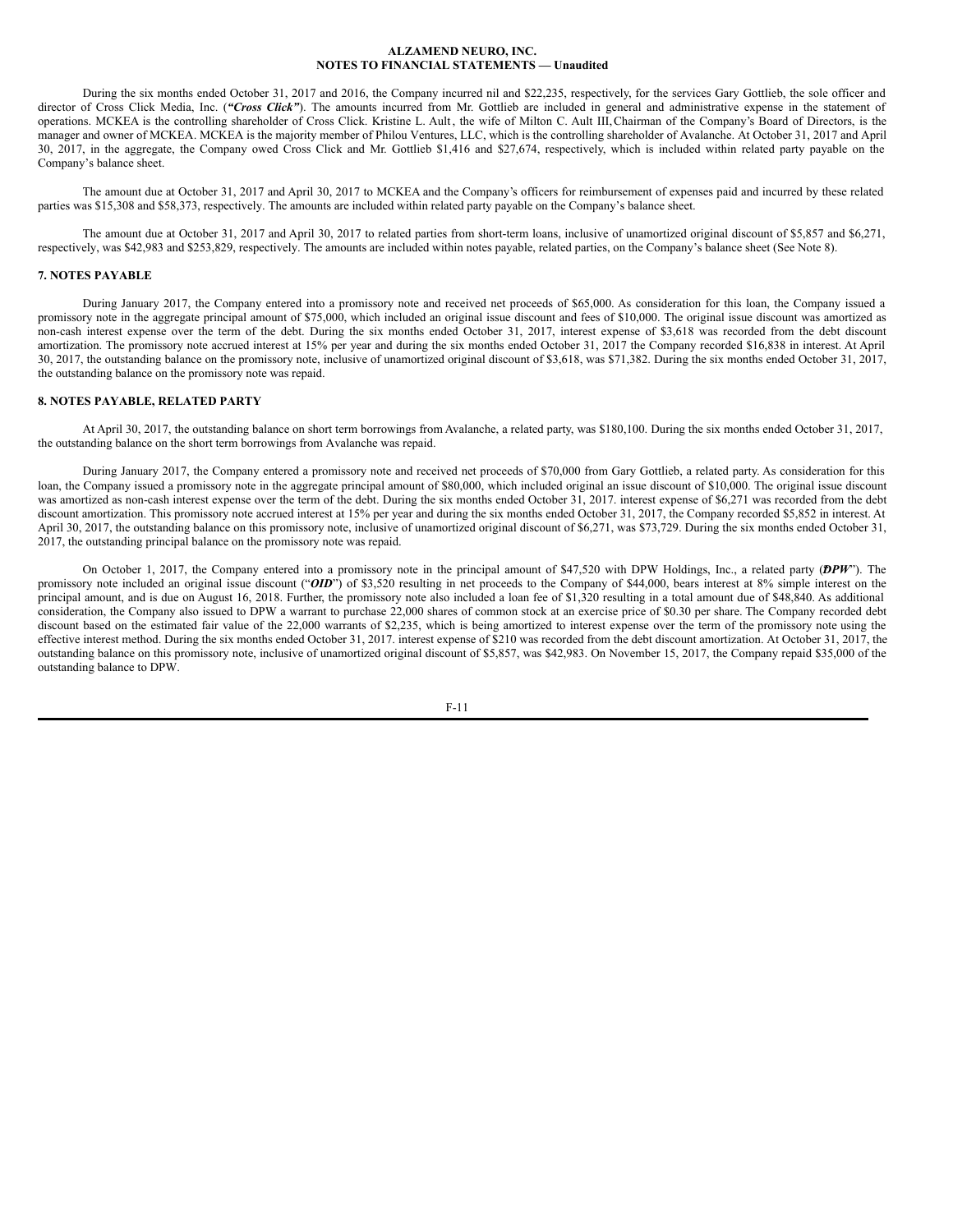During the six months ended October 31, 2017 and 2016, the Company incurred nil and \$22,235, respectively, for the services Gary Gottlieb, the sole officer and director of Cross Click Media, Inc. ("Cross Click"). The amounts incurred from Mr. Gottlieb are included in general and administrative expense in the statement of operations. MCKEA is the controlling shareholder of Cross Click. Kristine L. Ault , the wife of Milton C. Ault III,Chairman of the Company's Board of Directors, is the manager and owner of MCKEA. MCKEA is the majority member of Philou Ventures, LLC, which is the controlling shareholder of Avalanche. At October 31, 2017 and April 30, 2017, in the aggregate, the Company owed Cross Click and Mr. Gottlieb \$1,416 and \$27,674, respectively, which is included within related party payable on the Company's balance sheet.

The amount due at October 31, 2017 and April 30, 2017 to MCKEA and the Company's officers for reimbursement of expenses paid and incurred by these related parties was \$15,308 and \$58,373, respectively. The amounts are included within related party payable on the Company's balance sheet.

The amount due at October 31, 2017 and April 30, 2017 to related parties from short-term loans, inclusive of unamortized original discount of \$5,857 and \$6,271, respectively, was \$42,983 and \$253,829, respectively. The amounts are included within notes payable, related parties, on the Company's balance sheet (See Note 8).

# **7. NOTES PAYABLE**

During January 2017, the Company entered into a promissory note and received net proceeds of \$65,000. As consideration for this loan, the Company issued a promissory note in the aggregate principal amount of \$75,000, which included an original issue discount and fees of \$10,000. The original issue discount was amortized as non-cash interest expense over the term of the debt. During the six months ended October 31, 2017, interest expense of \$3,618 was recorded from the debt discount amortization. The promissory note accrued interest at 15% per year and during the six months ended October 31, 2017 the Company recorded \$16,838 in interest. At April 30, 2017, the outstanding balance on the promissory note, inclusive of unamortized original discount of \$3,618, was \$71,382. During the six months ended October 31, 2017, the outstanding balance on the promissory note was repaid.

# **8. NOTES PAYABLE, RELATED PARTY**

At April 30, 2017, the outstanding balance on short term borrowings from Avalanche, a related party, was \$180,100. During the six months ended October 31, 2017, the outstanding balance on the short term borrowings from Avalanche was repaid.

During January 2017, the Company entered a promissory note and received net proceeds of \$70,000 from Gary Gottlieb, a related party. As consideration for this loan, the Company issued a promissory note in the aggregate principal amount of \$80,000, which included original an issue discount of \$10,000. The original issue discount was amortized as non-cash interest expense over the term of the debt. During the six months ended October 31, 2017. interest expense of \$6,271 was recorded from the debt discount amortization. This promissory note accrued interest at 15% per year and during the six months ended October 31, 2017, the Company recorded \$5,852 in interest. At April 30, 2017, the outstanding balance on this promissory note, inclusive of unamortized original discount of \$6,271, was \$73,729. During the six months ended October 31, 2017, the outstanding principal balance on the promissory note was repaid.

On October 1, 2017, the Company entered into a promissory note in the principal amount of \$47,520 with DPW Holdings, Inc., a related party (DPW"). The promissory note included an original issue discount ("OID") of \$3,520 resulting in net proceeds to the Company of \$44,000, bears interest at 8% simple interest on the principal amount, and is due on August 16, 2018. Further, the promissory note also included a loan fee of \$1,320 resulting in a total amount due of \$48,840. As additional consideration, the Company also issued to DPW a warrant to purchase 22,000 shares of common stock at an exercise price of \$0.30 per share. The Company recorded debt discount based on the estimated fair value of the 22,000 warrants of \$2,235, which is being amortized to interest expense over the term of the promissory note using the effective interest method. During the six months ended October 31, 2017. interest expense of \$210 was recorded from the debt discount amortization. At October 31, 2017, the outstanding balance on this promissory note, inclusive of unamortized original discount of \$5,857, was \$42,983. On November 15, 2017, the Company repaid \$35,000 of the outstanding balance to DPW.

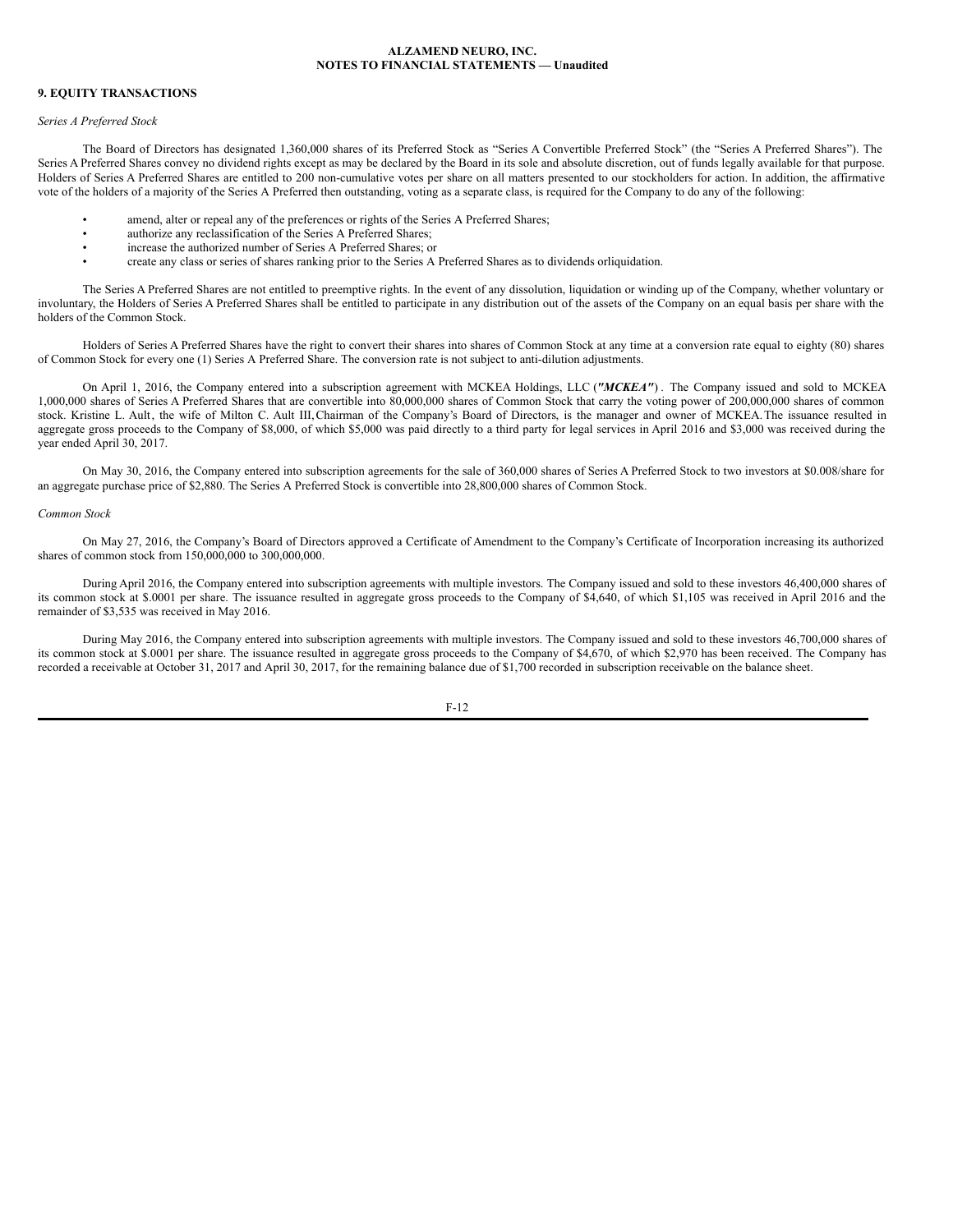## **9. EQUITY TRANSACTIONS**

#### *Series A Preferred Stock*

The Board of Directors has designated 1,360,000 shares of its Preferred Stock as "Series A Convertible Preferred Stock" (the "Series A Preferred Shares"). The Series A Preferred Shares convey no dividend rights except as may be declared by the Board in its sole and absolute discretion, out of funds legally available for that purpose. Holders of Series A Preferred Shares are entitled to 200 non-cumulative votes per share on all matters presented to our stockholders for action. In addition, the affirmative vote of the holders of a majority of the Series A Preferred then outstanding, voting as a separate class, is required for the Company to do any of the following:

- amend, alter or repeal any of the preferences or rights of the Series A Preferred Shares;
- authorize any reclassification of the Series A Preferred Shares;
- increase the authorized number of Series A Preferred Shares; or
- create any class or series of shares ranking prior to the Series A Preferred Shares as to dividends orliquidation.

The Series A Preferred Shares are not entitled to preemptive rights. In the event of any dissolution, liquidation or winding up of the Company, whether voluntary or involuntary, the Holders of Series A Preferred Shares shall be entitled to participate in any distribution out of the assets of the Company on an equal basis per share with the holders of the Common Stock.

Holders of Series A Preferred Shares have the right to convert their shares into shares of Common Stock at any time at a conversion rate equal to eighty (80) shares of Common Stock for every one (1) Series A Preferred Share. The conversion rate is not subject to anti-dilution adjustments.

On April 1, 2016, the Company entered into a subscription agreement with MCKEA Holdings, LLC (*"MCKEA"*) . The Company issued and sold to MCKEA 1,000,000 shares of Series A Preferred Shares that are convertible into 80,000,000 shares of Common Stock that carry the voting power of 200,000,000 shares of common stock. Kristine L. Ault, the wife of Milton C. Ault III,Chairman of the Company's Board of Directors, is the manager and owner of MCKEA.The issuance resulted in aggregate gross proceeds to the Company of \$8,000, of which \$5,000 was paid directly to a third party for legal services in April 2016 and \$3,000 was received during the year ended April 30, 2017.

On May 30, 2016, the Company entered into subscription agreements for the sale of 360,000 shares of Series A Preferred Stock to two investors at \$0.008/share for an aggregate purchase price of \$2,880. The Series A Preferred Stock is convertible into 28,800,000 shares of Common Stock.

# *Common Stock*

On May 27, 2016, the Company's Board of Directors approved a Certificate of Amendment to the Company's Certificate of Incorporation increasing its authorized shares of common stock from 150,000,000 to 300,000,000.

During April 2016, the Company entered into subscription agreements with multiple investors. The Company issued and sold to these investors 46,400,000 shares of its common stock at \$.0001 per share. The issuance resulted in aggregate gross proceeds to the Company of \$4,640, of which \$1,105 was received in April 2016 and the remainder of \$3,535 was received in May 2016.

During May 2016, the Company entered into subscription agreements with multiple investors. The Company issued and sold to these investors 46,700,000 shares of its common stock at \$.0001 per share. The issuance resulted in aggregate gross proceeds to the Company of \$4,670, of which \$2,970 has been received. The Company has recorded a receivable at October 31, 2017 and April 30, 2017, for the remaining balance due of \$1,700 recorded in subscription receivable on the balance sheet.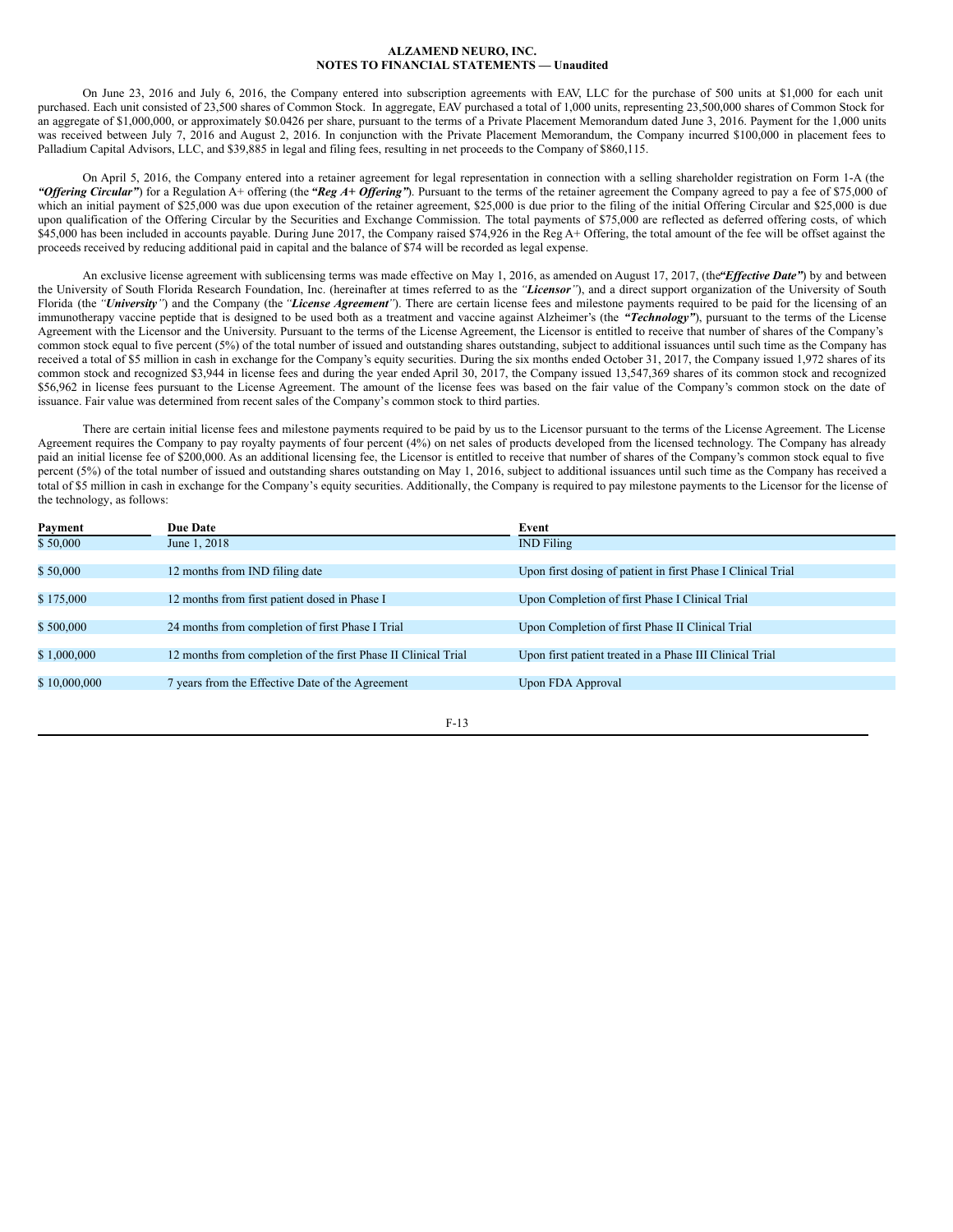On June 23, 2016 and July 6, 2016, the Company entered into subscription agreements with EAV, LLC for the purchase of 500 units at \$1,000 for each unit purchased. Each unit consisted of 23,500 shares of Common Stock. In aggregate, EAV purchased a total of 1,000 units, representing 23,500,000 shares of Common Stock for an aggregate of \$1,000,000, or approximately \$0.0426 per share, pursuant to the terms of a Private Placement Memorandum dated June 3, 2016. Payment for the 1,000 units was received between July 7, 2016 and August 2, 2016. In conjunction with the Private Placement Memorandum, the Company incurred \$100,000 in placement fees to Palladium Capital Advisors, LLC, and \$39,885 in legal and filing fees, resulting in net proceeds to the Company of \$860,115.

On April 5, 2016, the Company entered into a retainer agreement for legal representation in connection with a selling shareholder registration on Form 1-A (the *"Offering Circular"*) for a Regulation A+ offering (the "Reg A+ Offering"). Pursuant to the terms of the retainer agreement the Company agreed to pay a fee of \$75,000 of which an initial payment of \$25,000 was due upon execution of the retainer agreement, \$25,000 is due prior to the filing of the initial Offering Circular and \$25,000 is due upon qualification of the Offering Circular by the Securities and Exchange Commission. The total payments of \$75,000 are reflected as deferred offering costs, of which \$45,000 has been included in accounts payable. During June 2017, the Company raised \$74,926 in the Reg A+ Offering, the total amount of the fee will be offset against the proceeds received by reducing additional paid in capital and the balance of \$74 will be recorded as legal expense.

An exclusive license agreement with sublicensing terms was made effective on May 1, 2016, as amended on August 17, 2017, (the *Effective Date"*) by and between the University of South Florida Research Foundation, Inc. (hereinafter at times referred to as the *"Licensor"*), and a direct support organization of the University of South Florida (the "*University*") and the Company (the "*License Agreement*"). There are certain license fees and milestone payments required to be paid for the licensing of an immunotherapy vaccine peptide that is designed to be used both as a treatment and vaccine against Alzheimer's (the *"Technology"*), pursuant to the terms of the License Agreement with the Licensor and the University. Pursuant to the terms of the License Agreement, the Licensor is entitled to receive that number of shares of the Company's common stock equal to five percent (5%) of the total number of issued and outstanding shares outstanding, subject to additional issuances until such time as the Company has received a total of \$5 million in cash in exchange for the Company's equity securities. During the six months ended October 31, 2017, the Company issued 1,972 shares of its common stock and recognized \$3,944 in license fees and during the year ended April 30, 2017, the Company issued 13,547,369 shares of its common stock and recognized \$56,962 in license fees pursuant to the License Agreement. The amount of the license fees was based on the fair value of the Company's common stock on the date of issuance. Fair value was determined from recent sales of the Company's common stock to third parties.

There are certain initial license fees and milestone payments required to be paid by us to the Licensor pursuant to the terms of the License Agreement. The License Agreement requires the Company to pay royalty payments of four percent (4%) on net sales of products developed from the licensed technology. The Company has already paid an initial license fee of \$200,000. As an additional licensing fee, the Licensor is entitled to receive that number of shares of the Company's common stock equal to five percent (5%) of the total number of issued and outstanding shares outstanding on May 1, 2016, subject to additional issuances until such time as the Company has received a total of \$5 million in cash in exchange for the Company's equity securities. Additionally, the Company is required to pay milestone payments to the Licensor for the license of the technology, as follows:

| Payment      | <b>Due Date</b>                                                | Event                                                        |
|--------------|----------------------------------------------------------------|--------------------------------------------------------------|
| \$50,000     | June 1, 2018                                                   | <b>IND</b> Filing                                            |
|              |                                                                |                                                              |
| \$50,000     | 12 months from IND filing date                                 | Upon first dosing of patient in first Phase I Clinical Trial |
|              |                                                                |                                                              |
| \$175,000    | 12 months from first patient dosed in Phase I                  | Upon Completion of first Phase I Clinical Trial              |
|              |                                                                |                                                              |
| \$500,000    | 24 months from completion of first Phase I Trial               | Upon Completion of first Phase II Clinical Trial             |
|              |                                                                |                                                              |
| \$1,000,000  | 12 months from completion of the first Phase II Clinical Trial | Upon first patient treated in a Phase III Clinical Trial     |
|              |                                                                |                                                              |
| \$10,000,000 | 7 years from the Effective Date of the Agreement               | Upon FDA Approval                                            |
|              |                                                                |                                                              |

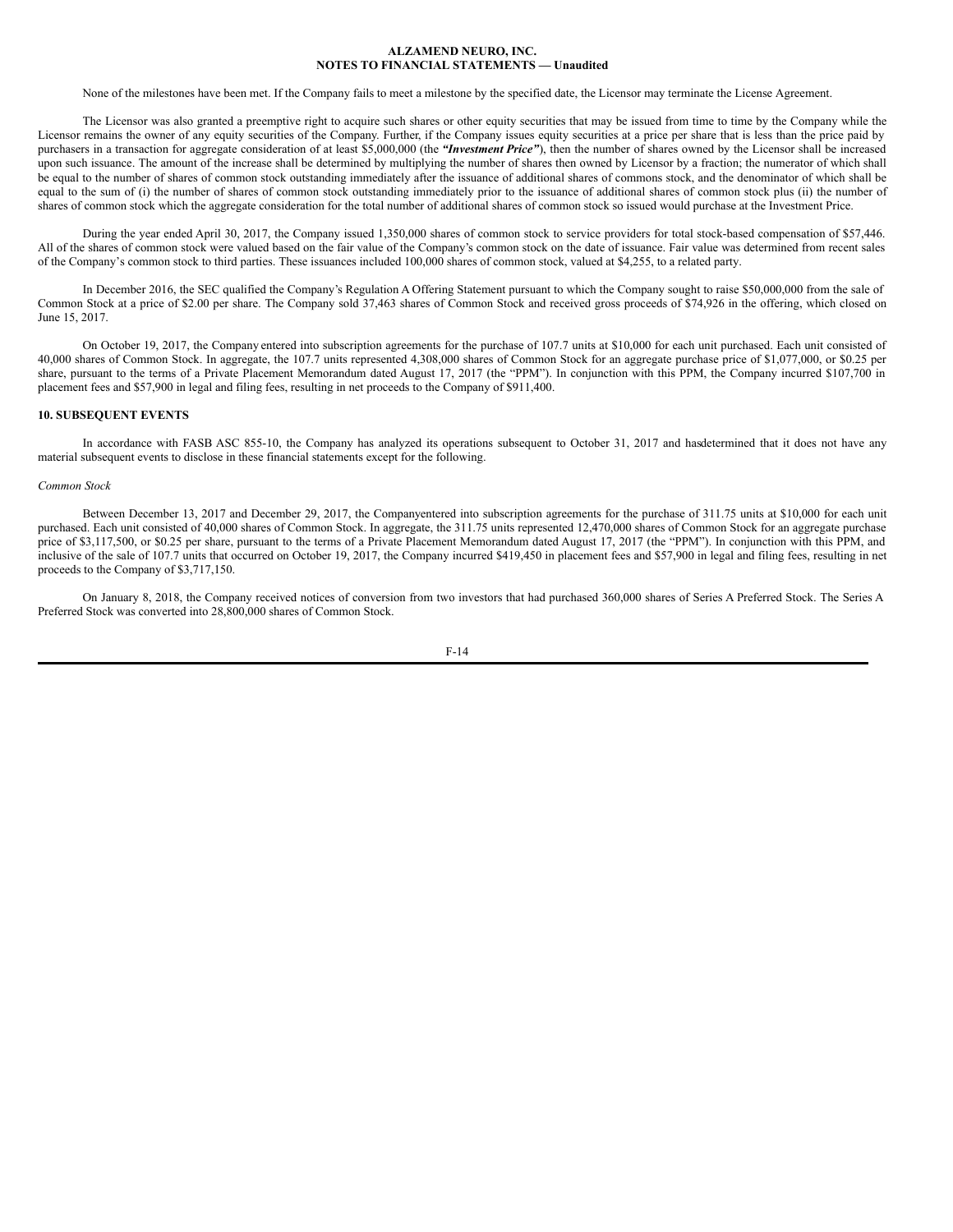None of the milestones have been met. If the Company fails to meet a milestone by the specified date, the Licensor may terminate the License Agreement.

The Licensor was also granted a preemptive right to acquire such shares or other equity securities that may be issued from time to time by the Company while the Licensor remains the owner of any equity securities of the Company. Further, if the Company issues equity securities at a price per share that is less than the price paid by purchasers in a transaction for aggregate consideration of at least \$5,000,000 (the *"Investment Price"*), then the number of shares owned by the Licensor shall be increased upon such issuance. The amount of the increase shall be determined by multiplying the number of shares then owned by Licensor by a fraction; the numerator of which shall be equal to the number of shares of common stock outstanding immediately after the issuance of additional shares of commons stock, and the denominator of which shall be equal to the sum of (i) the number of shares of common stock outstanding immediately prior to the issuance of additional shares of common stock plus (ii) the number of shares of common stock which the aggregate consideration for the total number of additional shares of common stock so issued would purchase at the Investment Price.

During the year ended April 30, 2017, the Company issued 1,350,000 shares of common stock to service providers for total stock-based compensation of \$57,446. All of the shares of common stock were valued based on the fair value of the Company's common stock on the date of issuance. Fair value was determined from recent sales of the Company's common stock to third parties. These issuances included 100,000 shares of common stock, valued at \$4,255, to a related party.

In December 2016, the SEC qualified the Company's Regulation A Offering Statement pursuant to which the Company sought to raise \$50,000,000 from the sale of Common Stock at a price of \$2.00 per share. The Company sold 37,463 shares of Common Stock and received gross proceeds of \$74,926 in the offering, which closed on June 15, 2017.

On October 19, 2017, the Company entered into subscription agreements for the purchase of 107.7 units at \$10,000 for each unit purchased. Each unit consisted of 40,000 shares of Common Stock. In aggregate, the 107.7 units represented 4,308,000 shares of Common Stock for an aggregate purchase price of \$1,077,000, or \$0.25 per share, pursuant to the terms of a Private Placement Memorandum dated August 17, 2017 (the "PPM"). In conjunction with this PPM, the Company incurred \$107,700 in placement fees and \$57,900 in legal and filing fees, resulting in net proceeds to the Company of \$911,400.

## **10. SUBSEQUENT EVENTS**

In accordance with FASB ASC 855-10, the Company has analyzed its operations subsequent to October 31, 2017 and hasdetermined that it does not have any material subsequent events to disclose in these financial statements except for the following.

# *Common Stock*

Between December 13, 2017 and December 29, 2017, the Companyentered into subscription agreements for the purchase of 311.75 units at \$10,000 for each unit purchased. Each unit consisted of 40,000 shares of Common Stock. In aggregate, the 311.75 units represented 12,470,000 shares of Common Stock for an aggregate purchase price of \$3,117,500, or \$0.25 per share, pursuant to the terms of a Private Placement Memorandum dated August 17, 2017 (the "PPM"). In conjunction with this PPM, and inclusive of the sale of 107.7 units that occurred on October 19, 2017, the Company incurred \$419,450 in placement fees and \$57,900 in legal and filing fees, resulting in net proceeds to the Company of \$3,717,150.

On January 8, 2018, the Company received notices of conversion from two investors that had purchased 360,000 shares of Series A Preferred Stock. The Series A Preferred Stock was converted into 28,800,000 shares of Common Stock.

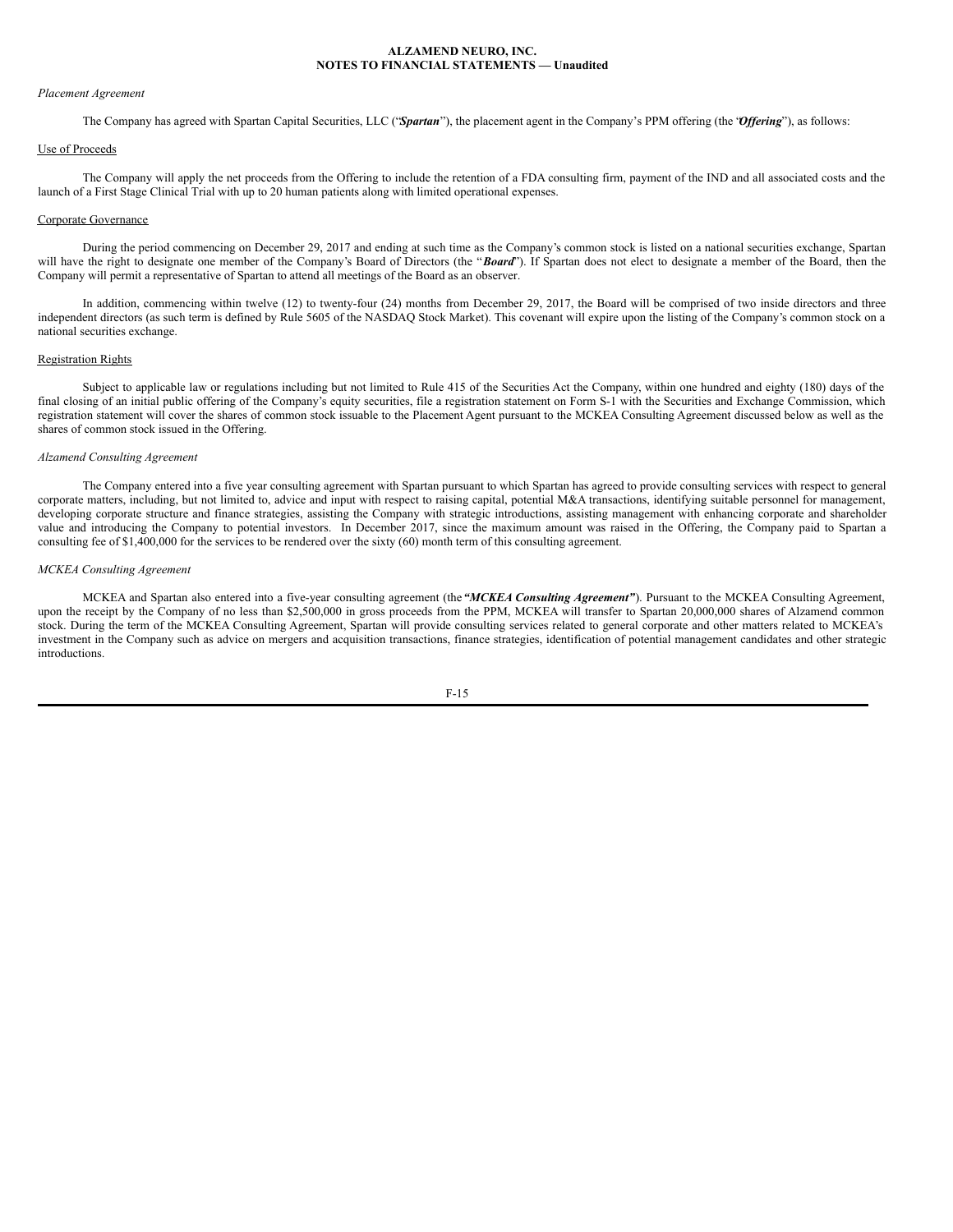# *Placement Agreement*

The Company has agreed with Spartan Capital Securities, LLC ("*Spartan*"), the placement agent in the Company's PPM offering (the "*Of ering*"), as follows:

# Use of Proceeds

The Company will apply the net proceeds from the Offering to include the retention of a FDA consulting firm, payment of the IND and all associated costs and the launch of a First Stage Clinical Trial with up to 20 human patients along with limited operational expenses.

#### Corporate Governance

During the period commencing on December 29, 2017 and ending at such time as the Company's common stock is listed on a national securities exchange, Spartan will have the right to designate one member of the Company's Board of Directors (the "*Board*"). If Spartan does not elect to designate a member of the Board, then the Company will permit a representative of Spartan to attend all meetings of the Board as an observer.

In addition, commencing within twelve (12) to twenty-four (24) months from December 29, 2017, the Board will be comprised of two inside directors and three independent directors (as such term is defined by Rule 5605 of the NASDAQ Stock Market). This covenant will expire upon the listing of the Company's common stock on a national securities exchange.

#### Registration Rights

Subject to applicable law or regulations including but not limited to Rule 415 of the Securities Act the Company, within one hundred and eighty (180) days of the final closing of an initial public offering of the Company's equity securities, file a registration statement on Form S-1 with the Securities and Exchange Commission, which registration statement will cover the shares of common stock issuable to the Placement Agent pursuant to the MCKEA Consulting Agreement discussed below as well as the shares of common stock issued in the Offering.

#### *Alzamend Consulting Agreement*

The Company entered into a five year consulting agreement with Spartan pursuant to which Spartan has agreed to provide consulting services with respect to general corporate matters, including, but not limited to, advice and input with respect to raising capital, potential M&A transactions, identifying suitable personnel for management, developing corporate structure and finance strategies, assisting the Company with strategic introductions, assisting management with enhancing corporate and shareholder value and introducing the Company to potential investors. In December 2017, since the maximum amount was raised in the Offering, the Company paid to Spartan a consulting fee of \$1,400,000 for the services to be rendered over the sixty (60) month term of this consulting agreement.

#### *MCKEA Consulting Agreement*

MCKEA and Spartan also entered into a five-year consulting agreement (the *"MCKEA Consulting Agreement"*). Pursuant to the MCKEA Consulting Agreement, upon the receipt by the Company of no less than \$2,500,000 in gross proceeds from the PPM, MCKEA will transfer to Spartan 20,000,000 shares of Alzamend common stock. During the term of the MCKEA Consulting Agreement, Spartan will provide consulting services related to general corporate and other matters related to MCKEA's investment in the Company such as advice on mergers and acquisition transactions, finance strategies, identification of potential management candidates and other strategic introductions.

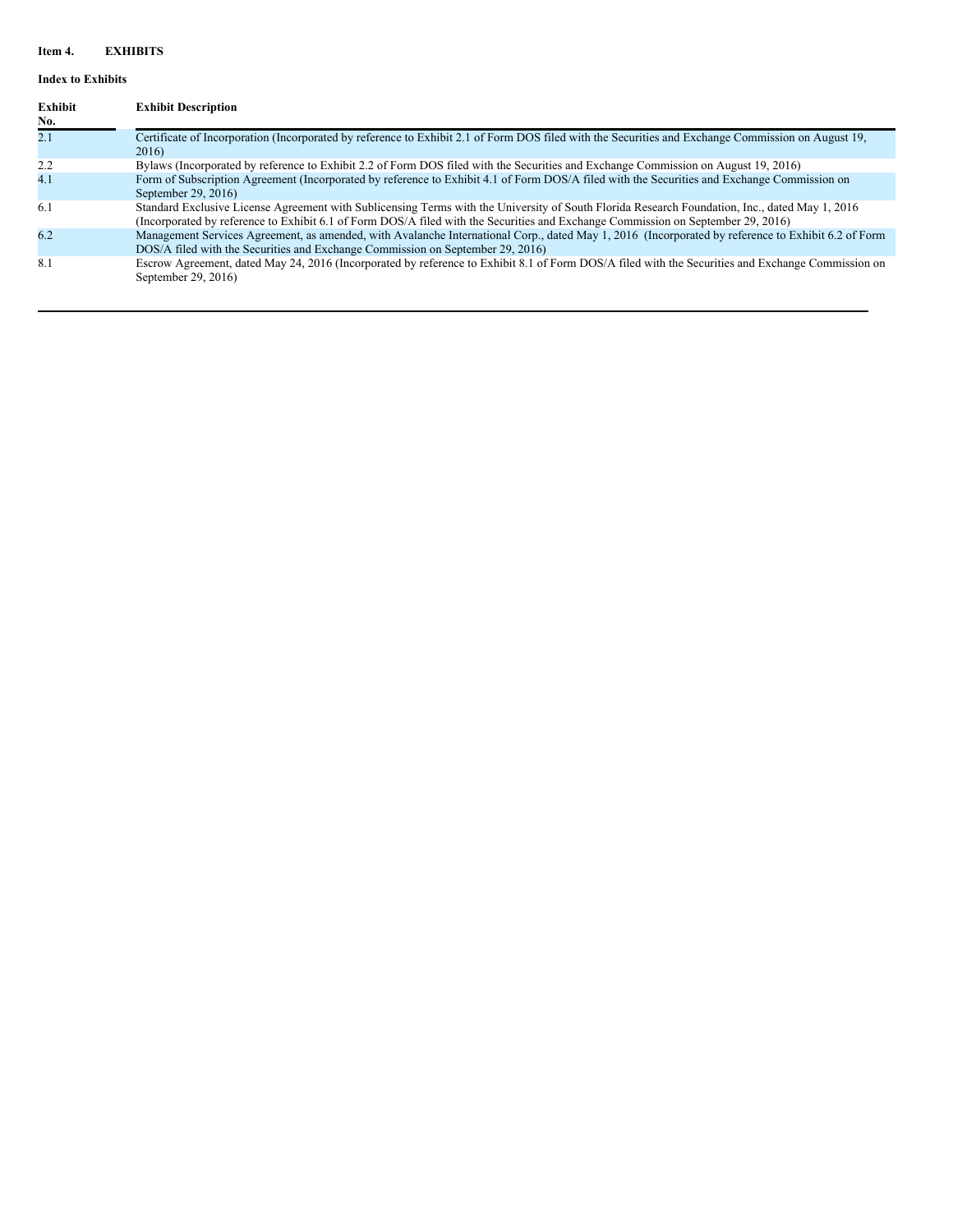# **Item 4. EXHIBITS**

# **Index to Exhibits**

| <b>Exhibit</b><br>No. | <b>Exhibit Description</b>                                                                                                                                                                                                                                                         |
|-----------------------|------------------------------------------------------------------------------------------------------------------------------------------------------------------------------------------------------------------------------------------------------------------------------------|
| 2.1                   | Certificate of Incorporation (Incorporated by reference to Exhibit 2.1 of Form DOS filed with the Securities and Exchange Commission on August 19,<br>2016)                                                                                                                        |
| 2.2                   | Bylaws (Incorporated by reference to Exhibit 2.2 of Form DOS filed with the Securities and Exchange Commission on August 19, 2016)                                                                                                                                                 |
| 4.1                   | Form of Subscription Agreement (Incorporated by reference to Exhibit 4.1 of Form DOS/A filed with the Securities and Exchange Commission on<br>September 29, 2016)                                                                                                                 |
| 6.1                   | Standard Exclusive License Agreement with Sublicensing Terms with the University of South Florida Research Foundation, Inc., dated May 1, 2016<br>(Incorporated by reference to Exhibit 6.1 of Form DOS/A filed with the Securities and Exchange Commission on September 29, 2016) |
| 6.2                   | Management Services Agreement, as amended, with Avalanche International Corp., dated May 1, 2016 (Incorporated by reference to Exhibit 6.2 of Form<br>DOS/A filed with the Securities and Exchange Commission on September 29, 2016)                                               |
| 8.1                   | Escrow Agreement, dated May 24, 2016 (Incorporated by reference to Exhibit 8.1 of Form DOS/A filed with the Securities and Exchange Commission on<br>September 29, 2016)                                                                                                           |